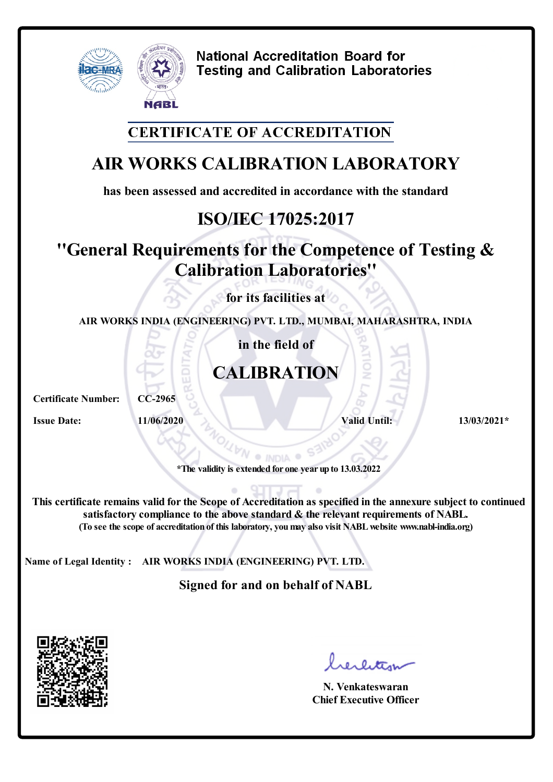

### **CERTIFICATE OF ACCREDITATION**

# **AIR WORKS CALIBRATION LABORATORY**

**has been assessed and accredited in accordance with the standard**

# **ISO/IEC 17025:2017**

## **''General Requirements for the Competence of Testing & Calibration Laboratories''**

**for its facilities at**

**AIR WORKS INDIA (ENGINEERING) PVT. LTD., MUMBAI, MAHARASHTRA, INDIA**

**in the field of**

# **CALIBRATION**

**Certificate Number: CC-2965**

**Issue Date: 11/06/2020 Valid Until: 13/03/2021\*** 

**\*The validity is extended for one year up to 13.03.2022**

**This certificate remains valid forthe Scope of Accreditation as specified in the annexure subject to continued satisfactory compliance to the above standard & the relevant requirements of NABL. (To see the scope of accreditation of this laboratory, youmay also visit NABLwebsite www.nabl-india.org)**

**Name of Legal Identity : AIR WORKS INDIA (ENGINEERING) PVT. LTD.**

**Signed for and on behalf of NABL**



**N. Venkateswaran Chief Executive Officer**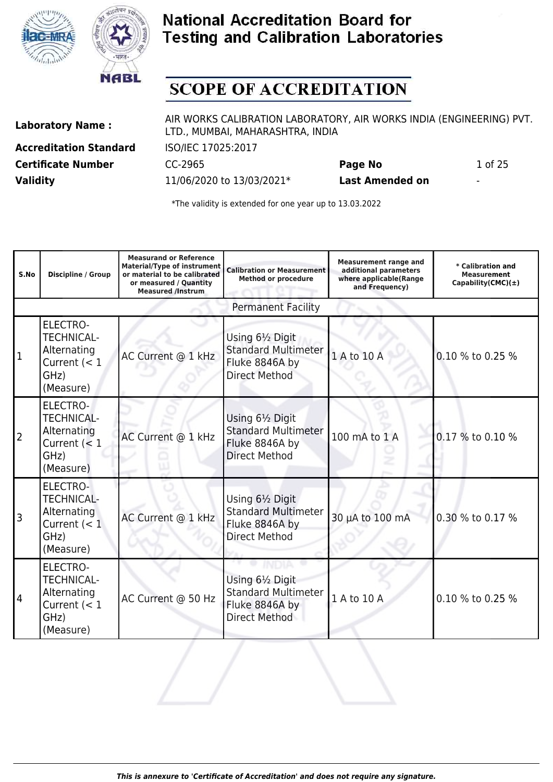



## **SCOPE OF ACCREDITATION**

**Accreditation Standard** ISO/IEC 17025:2017 **Certificate Number** CC-2965 **Page No** 1 of 25 **Validity** 11/06/2020 to 13/03/2021\* **Last Amended on** -

Laboratory Name : AIR WORKS CALIBRATION LABORATORY, AIR WORKS INDIA (ENGINEERING) PVT. LTD., MUMBAI, MAHARASHTRA, INDIA

| S.No | <b>Discipline / Group</b>                                                                  | <b>Measurand or Reference</b><br><b>Material/Type of instrument</b><br>or material to be calibrated<br>or measured / Quantity<br><b>Measured /Instrum</b> | <b>Calibration or Measurement</b><br><b>Method or procedure</b>                          | <b>Measurement range and</b><br>additional parameters<br>where applicable(Range<br>and Frequency) | * Calibration and<br><b>Measurement</b><br>Capability(CMC) $(\pm)$ |
|------|--------------------------------------------------------------------------------------------|-----------------------------------------------------------------------------------------------------------------------------------------------------------|------------------------------------------------------------------------------------------|---------------------------------------------------------------------------------------------------|--------------------------------------------------------------------|
|      |                                                                                            |                                                                                                                                                           | <b>Permanent Facility</b>                                                                |                                                                                                   |                                                                    |
| 1    | <b>ELECTRO-</b><br><b>TECHNICAL-</b><br>Alternating<br>Current $(< 1$<br>GHz)<br>(Measure) | AC Current @ 1 kHz                                                                                                                                        | Using 61/2 Digit<br><b>Standard Multimeter</b><br>Fluke 8846A by<br><b>Direct Method</b> | 1 A to 10 A                                                                                       | 0.10 % to 0.25 %                                                   |
| 2    | <b>ELECTRO-</b><br><b>TECHNICAL-</b><br>Alternating<br>Current $(< 1$<br>GHz)<br>(Measure) | AC Current @ 1 kHz                                                                                                                                        | Using 61/2 Digit<br><b>Standard Multimeter</b><br>Fluke 8846A by<br><b>Direct Method</b> | 100 mA to 1 A                                                                                     | 0.17 % to 0.10 %                                                   |
| 3    | <b>ELECTRO-</b><br><b>TECHNICAL-</b><br>Alternating<br>Current $(< 1$<br>GHz)<br>(Measure) | AC Current @ 1 kHz                                                                                                                                        | Using 61/2 Digit<br><b>Standard Multimeter</b><br>Fluke 8846A by<br><b>Direct Method</b> | 30 µA to 100 mA                                                                                   | 0.30 % to 0.17 %                                                   |
| 4    | <b>ELECTRO-</b><br><b>TECHNICAL-</b><br>Alternating<br>Current $(< 1$<br>GHz)<br>(Measure) | AC Current @ 50 Hz                                                                                                                                        | Using 61/2 Digit<br><b>Standard Multimeter</b><br>Fluke 8846A by<br><b>Direct Method</b> | 1 A to 10 A                                                                                       | 0.10 % to 0.25 %                                                   |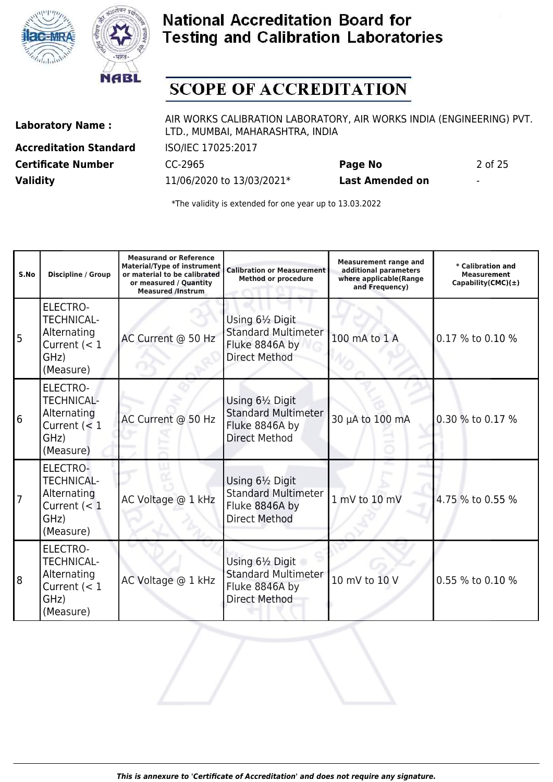



## **SCOPE OF ACCREDITATION**

**Accreditation Standard** ISO/IEC 17025:2017 **Validity** 11/06/2020 to 13/03/2021\* **Last Amended on** -

Laboratory Name : AIR WORKS CALIBRATION LABORATORY, AIR WORKS INDIA (ENGINEERING) PVT. LTD., MUMBAI, MAHARASHTRA, INDIA

**Certificate Number** CC-2965 **Page No** 2 of 25

| S.No | <b>Discipline / Group</b>                                                                  | <b>Measurand or Reference</b><br><b>Material/Type of instrument</b><br>or material to be calibrated<br>or measured / Quantity<br><b>Measured /Instrum</b> | <b>Calibration or Measurement</b><br><b>Method or procedure</b>                          | <b>Measurement range and</b><br>additional parameters<br>where applicable(Range<br>and Frequency) | * Calibration and<br><b>Measurement</b><br>Capability(CMC) $(\pm)$ |
|------|--------------------------------------------------------------------------------------------|-----------------------------------------------------------------------------------------------------------------------------------------------------------|------------------------------------------------------------------------------------------|---------------------------------------------------------------------------------------------------|--------------------------------------------------------------------|
| 5 ا  | ELECTRO-<br><b>TECHNICAL-</b><br>Alternating<br>Current $(< 1$<br>GHz)<br>(Measure)        | AC Current @ 50 Hz                                                                                                                                        | Using 61/2 Digit<br><b>Standard Multimeter</b><br>Fluke 8846A by<br><b>Direct Method</b> | 100 mA to 1 A                                                                                     | 0.17 % to 0.10 %                                                   |
| 16   | <b>ELECTRO-</b><br><b>TECHNICAL-</b><br>Alternating<br>Current $(< 1$<br>GHz)<br>(Measure) | AC Current @ 50 Hz                                                                                                                                        | Using 61/2 Digit<br><b>Standard Multimeter</b><br>Fluke 8846A by<br><b>Direct Method</b> | 30 µA to 100 mA                                                                                   | 0.30 % to 0.17 %                                                   |
| 17   | <b>ELECTRO-</b><br><b>TECHNICAL-</b><br>Alternating<br>Current $(< 1$<br>GHz)<br>(Measure) | AC Voltage @ 1 kHz                                                                                                                                        | Using 61/2 Digit<br><b>Standard Multimeter</b><br>Fluke 8846A by<br><b>Direct Method</b> | 1 mV to 10 mV                                                                                     | 4.75 % to 0.55 %                                                   |
| 18   | ELECTRO-<br><b>TECHNICAL-</b><br>Alternating<br>Current $(< 1$<br>GHz)<br>(Measure)        | AC Voltage @ 1 kHz                                                                                                                                        | Using 61/2 Digit<br><b>Standard Multimeter</b><br>Fluke 8846A by<br><b>Direct Method</b> | 10 mV to 10 V                                                                                     | 0.55 % to 0.10 %                                                   |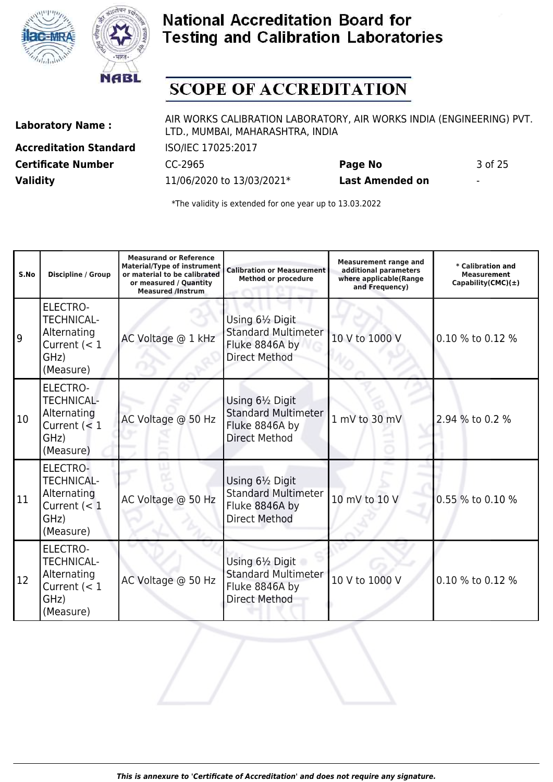



## **SCOPE OF ACCREDITATION**

**Accreditation Standard** ISO/IEC 17025:2017 **Certificate Number** CC-2965 **Page No** 3 of 25 **Validity** 11/06/2020 to 13/03/2021\* **Last Amended on** -

Laboratory Name : AIR WORKS CALIBRATION LABORATORY, AIR WORKS INDIA (ENGINEERING) PVT. LTD., MUMBAI, MAHARASHTRA, INDIA

| S.No | Discipline / Group                                                                         | <b>Measurand or Reference</b><br><b>Material/Type of instrument</b><br>or material to be calibrated<br>or measured / Quantity<br><b>Measured /Instrum</b> | <b>Calibration or Measurement</b><br><b>Method or procedure</b>                          | <b>Measurement range and</b><br>additional parameters<br>where applicable(Range<br>and Frequency) | * Calibration and<br>Measurement<br>Capability(CMC) $(\pm)$ |
|------|--------------------------------------------------------------------------------------------|-----------------------------------------------------------------------------------------------------------------------------------------------------------|------------------------------------------------------------------------------------------|---------------------------------------------------------------------------------------------------|-------------------------------------------------------------|
| 9    | <b>ELECTRO-</b><br><b>TECHNICAL-</b><br>Alternating<br>Current $(< 1$<br>GHz)<br>(Measure) | AC Voltage @ 1 kHz                                                                                                                                        | Using 61/2 Digit<br><b>Standard Multimeter</b><br>Fluke 8846A by<br><b>Direct Method</b> | 10 V to 1000 V                                                                                    | 0.10 % to 0.12 %                                            |
| 10   | <b>ELECTRO-</b><br><b>TECHNICAL-</b><br>Alternating<br>Current $(< 1$<br>GHz)<br>(Measure) | AC Voltage @ 50 Hz                                                                                                                                        | Using 61/2 Digit<br><b>Standard Multimeter</b><br>Fluke 8846A by<br><b>Direct Method</b> | 1 mV to 30 mV                                                                                     | 2.94 % to 0.2 %                                             |
| 11   | <b>ELECTRO-</b><br><b>TECHNICAL-</b><br>Alternating<br>Current $(< 1$<br>GHz)<br>(Measure) | AC Voltage @ 50 Hz                                                                                                                                        | Using 61/2 Digit<br><b>Standard Multimeter</b><br>Fluke 8846A by<br><b>Direct Method</b> | 10 mV to 10 V                                                                                     | 0.55 % to 0.10 %                                            |
| 12   | <b>ELECTRO-</b><br><b>TECHNICAL-</b><br>Alternating<br>Current $(< 1$<br>GHz)<br>(Measure) | AC Voltage @ 50 Hz                                                                                                                                        | Using 61/2 Digit<br><b>Standard Multimeter</b><br>Fluke 8846A by<br><b>Direct Method</b> | 10 V to 1000 V                                                                                    | 0.10 % to 0.12 %                                            |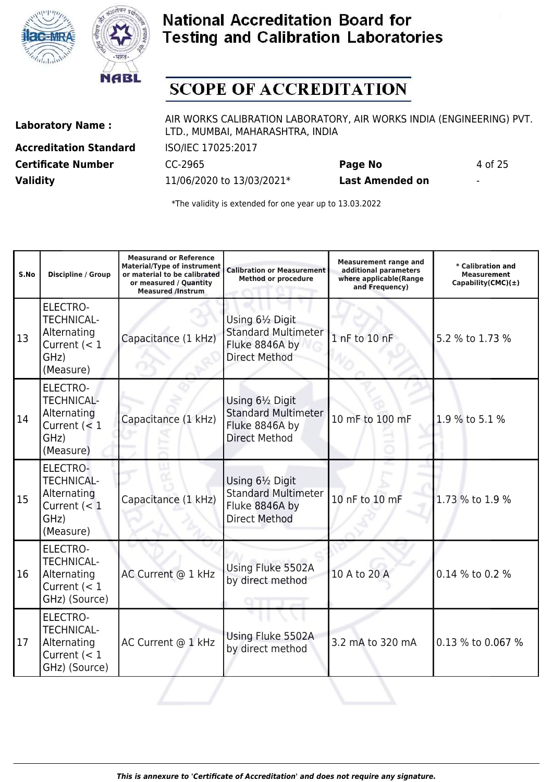



## **SCOPE OF ACCREDITATION**

**Accreditation Standard** ISO/IEC 17025:2017 **Certificate Number** CC-2965 **Page No** 4 of 25 **Validity** 11/06/2020 to 13/03/2021\* **Last Amended on** -

Laboratory Name : AIR WORKS CALIBRATION LABORATORY, AIR WORKS INDIA (ENGINEERING) PVT. LTD., MUMBAI, MAHARASHTRA, INDIA

| S.No | <b>Discipline / Group</b>                                                                  | <b>Measurand or Reference</b><br><b>Material/Type of instrument</b><br>or material to be calibrated<br>or measured / Quantity<br><b>Measured /Instrum</b> | <b>Calibration or Measurement</b><br><b>Method or procedure</b>                          | <b>Measurement range and</b><br>additional parameters<br>where applicable(Range<br>and Frequency) | * Calibration and<br><b>Measurement</b><br>Capability(CMC) $(\pm)$ |
|------|--------------------------------------------------------------------------------------------|-----------------------------------------------------------------------------------------------------------------------------------------------------------|------------------------------------------------------------------------------------------|---------------------------------------------------------------------------------------------------|--------------------------------------------------------------------|
| 13   | <b>ELECTRO-</b><br><b>TECHNICAL-</b><br>Alternating<br>Current $(< 1$<br>GHz)<br>(Measure) | Capacitance (1 kHz)                                                                                                                                       | Using 61/2 Digit<br><b>Standard Multimeter</b><br>Fluke 8846A by<br><b>Direct Method</b> | 1 nF to 10 nF                                                                                     | 5.2 % to 1.73 %                                                    |
| 14   | <b>ELECTRO-</b><br><b>TECHNICAL-</b><br>Alternating<br>Current $(< 1$<br>GHz)<br>(Measure) | Capacitance (1 kHz)                                                                                                                                       | Using 61/2 Digit<br><b>Standard Multimeter</b><br>Fluke 8846A by<br><b>Direct Method</b> | 10 mF to 100 mF                                                                                   | 1.9 % to 5.1 %                                                     |
| 15   | ELECTRO-<br><b>TECHNICAL-</b><br>Alternating<br>Current (< 1<br>GHz)<br>(Measure)          | Capacitance (1 kHz)                                                                                                                                       | Using 61/2 Digit<br><b>Standard Multimeter</b><br>Fluke 8846A by<br><b>Direct Method</b> | 10 nF to 10 mF                                                                                    | 1.73 % to 1.9 %                                                    |
| 16   | <b>ELECTRO-</b><br><b>TECHNICAL-</b><br>Alternating<br>Current $(< 1$<br>GHz) (Source)     | AC Current @ 1 kHz                                                                                                                                        | Using Fluke 5502A<br>by direct method                                                    | 10 A to 20 A                                                                                      | 0.14 % to 0.2 %                                                    |
| 17   | <b>ELECTRO-</b><br><b>TECHNICAL-</b><br>Alternating<br>Current $(< 1$<br>GHz) (Source)     | AC Current @ 1 kHz                                                                                                                                        | Using Fluke 5502A<br>by direct method                                                    | 3.2 mA to 320 mA                                                                                  | 0.13 % to 0.067 %                                                  |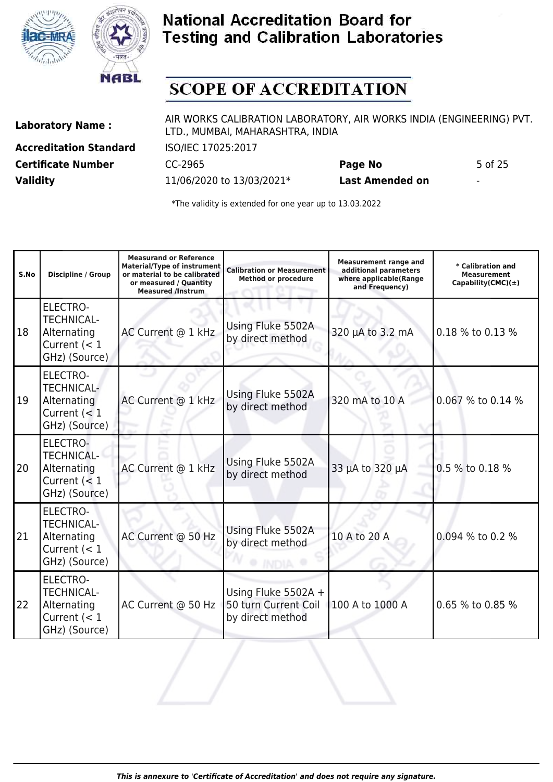



## **SCOPE OF ACCREDITATION**

**Accreditation Standard** ISO/IEC 17025:2017 **Certificate Number** CC-2965 **Page No** 5 of 25 **Validity** 11/06/2020 to 13/03/2021\* **Last Amended on** -

Laboratory Name : AIR WORKS CALIBRATION LABORATORY, AIR WORKS INDIA (ENGINEERING) PVT. LTD., MUMBAI, MAHARASHTRA, INDIA

| S.No | <b>Discipline / Group</b>                                                              | <b>Measurand or Reference</b><br><b>Material/Type of instrument</b><br>or material to be calibrated<br>or measured / Quantity<br><b>Measured /Instrum</b> | <b>Calibration or Measurement</b><br><b>Method or procedure</b> | <b>Measurement range and</b><br>additional parameters<br>where applicable(Range<br>and Frequency) | * Calibration and<br><b>Measurement</b><br>Capability(CMC) $(\pm)$ |
|------|----------------------------------------------------------------------------------------|-----------------------------------------------------------------------------------------------------------------------------------------------------------|-----------------------------------------------------------------|---------------------------------------------------------------------------------------------------|--------------------------------------------------------------------|
| 18   | <b>ELECTRO-</b><br><b>TECHNICAL-</b><br>Alternating<br>Current $(< 1$<br>GHz) (Source) | AC Current @ 1 kHz                                                                                                                                        | Using Fluke 5502A<br>by direct method                           | 320 µA to 3.2 mA                                                                                  | 0.18 % to 0.13 %                                                   |
| 19   | ELECTRO-<br><b>TECHNICAL-</b><br>Alternating<br>Current $(< 1$<br>GHz) (Source)        | AC Current @ 1 kHz                                                                                                                                        | Using Fluke 5502A<br>by direct method                           | 320 mA to 10 A                                                                                    | 0.067 % to 0.14 %                                                  |
| 20   | <b>ELECTRO-</b><br><b>TECHNICAL-</b><br>Alternating<br>Current $(< 1$<br>GHz) (Source) | AC Current @ 1 kHz                                                                                                                                        | Using Fluke 5502A<br>by direct method                           | 33 µA to 320 µA                                                                                   | 0.5 % to 0.18 %                                                    |
| 21   | <b>ELECTRO-</b><br><b>TECHNICAL-</b><br>Alternating<br>Current $(< 1$<br>GHz) (Source) | AC Current @ 50 Hz                                                                                                                                        | Using Fluke 5502A<br>by direct method                           | 10 A to 20 A                                                                                      | 0.094 % to 0.2 %                                                   |
| 22   | <b>ELECTRO-</b><br><b>TECHNICAL-</b><br>Alternating<br>Current $(< 1$<br>GHz) (Source) | AC Current @ 50 Hz                                                                                                                                        | Using Fluke 5502A +<br>50 turn Current Coil<br>by direct method | 100 A to 1000 A                                                                                   | 0.65 % to 0.85 %                                                   |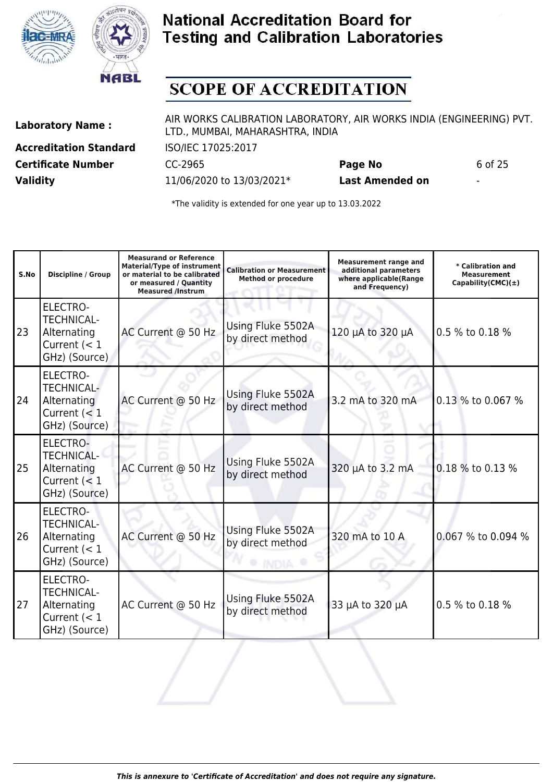



## **SCOPE OF ACCREDITATION**

**Accreditation Standard** ISO/IEC 17025:2017 **Certificate Number** CC-2965 **Page No** 6 of 25 **Validity** 11/06/2020 to 13/03/2021\* **Last Amended on** -

Laboratory Name : AIR WORKS CALIBRATION LABORATORY, AIR WORKS INDIA (ENGINEERING) PVT. LTD., MUMBAI, MAHARASHTRA, INDIA

| S.No | Discipline / Group                                                                     | <b>Measurand or Reference</b><br><b>Material/Type of instrument</b><br>or material to be calibrated<br>or measured / Quantity<br><b>Measured /Instrum</b> | <b>Calibration or Measurement</b><br><b>Method or procedure</b> | <b>Measurement range and</b><br>additional parameters<br>where applicable(Range<br>and Frequency) | * Calibration and<br><b>Measurement</b><br>Capability(CMC) $(\pm)$ |
|------|----------------------------------------------------------------------------------------|-----------------------------------------------------------------------------------------------------------------------------------------------------------|-----------------------------------------------------------------|---------------------------------------------------------------------------------------------------|--------------------------------------------------------------------|
| 23   | <b>ELECTRO-</b><br><b>TECHNICAL-</b><br>Alternating<br>Current $(< 1$<br>GHz) (Source) | AC Current @ 50 Hz                                                                                                                                        | Using Fluke 5502A<br>by direct method                           | 120 µA to 320 µA                                                                                  | 0.5 % to 0.18 %                                                    |
| 24   | ELECTRO-<br><b>TECHNICAL-</b><br>Alternating<br>Current $(< 1$<br>GHz) (Source)        | AC Current @ 50 Hz                                                                                                                                        | Using Fluke 5502A<br>by direct method                           | 3.2 mA to 320 mA                                                                                  | 0.13 % to 0.067 %                                                  |
| 25   | <b>ELECTRO-</b><br><b>TECHNICAL-</b><br>Alternating<br>Current $(< 1$<br>GHz) (Source) | AC Current @ 50 Hz                                                                                                                                        | Using Fluke 5502A<br>by direct method                           | 320 µA to 3.2 mA                                                                                  | 0.18 % to 0.13 %                                                   |
| 26   | <b>ELECTRO-</b><br><b>TECHNICAL-</b><br>Alternating<br>Current $(< 1$<br>GHz) (Source) | AC Current @ 50 Hz                                                                                                                                        | Using Fluke 5502A<br>by direct method                           | 320 mA to 10 A                                                                                    | 0.067 % to 0.094 %                                                 |
| 27   | <b>ELECTRO-</b><br><b>TECHNICAL-</b><br>Alternating<br>Current $(< 1$<br>GHz) (Source) | AC Current @ 50 Hz                                                                                                                                        | Using Fluke 5502A<br>by direct method                           | 33 µA to 320 µA                                                                                   | 0.5 % to 0.18 %                                                    |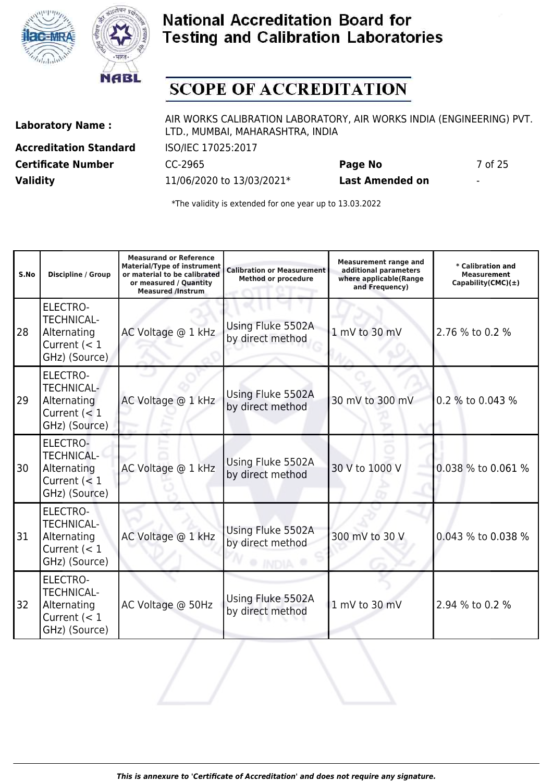



## **SCOPE OF ACCREDITATION**

**Accreditation Standard** ISO/IEC 17025:2017 **Certificate Number** CC-2965 **Page No** 7 of 25 **Validity** 11/06/2020 to 13/03/2021\* **Last Amended on** -

Laboratory Name : AIR WORKS CALIBRATION LABORATORY, AIR WORKS INDIA (ENGINEERING) PVT. LTD., MUMBAI, MAHARASHTRA, INDIA

| S.No | Discipline / Group                                                                     | <b>Measurand or Reference</b><br><b>Material/Type of instrument</b><br>or material to be calibrated<br>or measured / Quantity<br><b>Measured /Instrum</b> | <b>Calibration or Measurement</b><br><b>Method or procedure</b> | <b>Measurement range and</b><br>additional parameters<br>where applicable(Range<br>and Frequency) | * Calibration and<br><b>Measurement</b><br>Capability(CMC) $(\pm)$ |
|------|----------------------------------------------------------------------------------------|-----------------------------------------------------------------------------------------------------------------------------------------------------------|-----------------------------------------------------------------|---------------------------------------------------------------------------------------------------|--------------------------------------------------------------------|
| 28   | <b>ELECTRO-</b><br><b>TECHNICAL-</b><br>Alternating<br>Current $(< 1$<br>GHz) (Source) | AC Voltage @ 1 kHz                                                                                                                                        | Using Fluke 5502A<br>by direct method                           | 1 mV to 30 mV                                                                                     | 2.76 % to 0.2 %                                                    |
| 29   | <b>ELECTRO-</b><br><b>TECHNICAL-</b><br>Alternating<br>Current $(< 1$<br>GHz) (Source) | AC Voltage @ 1 kHz                                                                                                                                        | Using Fluke 5502A<br>by direct method                           | 30 mV to 300 mV                                                                                   | 0.2 % to 0.043 %                                                   |
| 30   | <b>ELECTRO-</b><br><b>TECHNICAL-</b><br>Alternating<br>Current $(< 1$<br>GHz) (Source) | AC Voltage @ 1 kHz                                                                                                                                        | Using Fluke 5502A<br>by direct method                           | 30 V to 1000 V                                                                                    | 0.038 % to 0.061 %                                                 |
| 31   | <b>ELECTRO-</b><br><b>TECHNICAL-</b><br>Alternating<br>Current $(< 1$<br>GHz) (Source) | AC Voltage @ 1 kHz                                                                                                                                        | Using Fluke 5502A<br>by direct method                           | 300 mV to 30 V                                                                                    | 0.043 % to 0.038 %                                                 |
| 32   | <b>ELECTRO-</b><br><b>TECHNICAL-</b><br>Alternating<br>Current $(< 1$<br>GHz) (Source) | AC Voltage @ 50Hz                                                                                                                                         | Using Fluke 5502A<br>by direct method                           | 1 mV to 30 mV                                                                                     | 2.94 % to 0.2 %                                                    |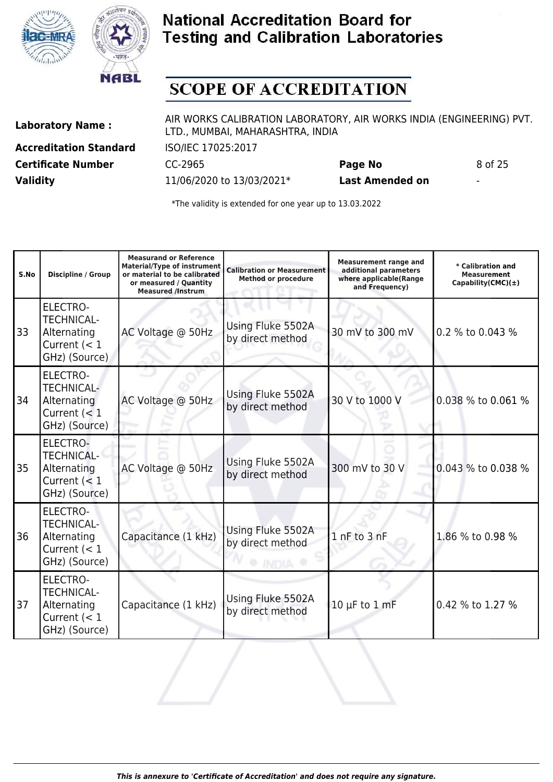



## **SCOPE OF ACCREDITATION**

**Accreditation Standard** ISO/IEC 17025:2017 **Certificate Number** CC-2965 **Page No** 8 of 25 **Validity** 11/06/2020 to 13/03/2021\* **Last Amended on** -

Laboratory Name : AIR WORKS CALIBRATION LABORATORY, AIR WORKS INDIA (ENGINEERING) PVT. LTD., MUMBAI, MAHARASHTRA, INDIA

| S.No | <b>Discipline / Group</b>                                                              | <b>Measurand or Reference</b><br><b>Material/Type of instrument</b><br>or material to be calibrated<br>or measured / Quantity<br><b>Measured /Instrum</b> | <b>Calibration or Measurement</b><br><b>Method or procedure</b> | <b>Measurement range and</b><br>additional parameters<br>where applicable(Range<br>and Frequency) | * Calibration and<br><b>Measurement</b><br>Capability(CMC) $(\pm)$ |
|------|----------------------------------------------------------------------------------------|-----------------------------------------------------------------------------------------------------------------------------------------------------------|-----------------------------------------------------------------|---------------------------------------------------------------------------------------------------|--------------------------------------------------------------------|
| 33   | <b>ELECTRO-</b><br><b>TECHNICAL-</b><br>Alternating<br>Current $(< 1$<br>GHz) (Source) | AC Voltage @ 50Hz                                                                                                                                         | Using Fluke 5502A<br>by direct method                           | 30 mV to 300 mV                                                                                   | 0.2 % to 0.043 %                                                   |
| 34   | ELECTRO-<br><b>TECHNICAL-</b><br>Alternating<br>Current $(< 1$<br>GHz) (Source)        | AC Voltage @ 50Hz                                                                                                                                         | Using Fluke 5502A<br>by direct method                           | 30 V to 1000 V                                                                                    | 0.038 % to 0.061 %                                                 |
| 35   | <b>ELECTRO-</b><br><b>TECHNICAL-</b><br>Alternating<br>Current $(< 1$<br>GHz) (Source) | AC Voltage @ 50Hz                                                                                                                                         | Using Fluke 5502A<br>by direct method                           | 300 mV to 30 V                                                                                    | 0.043 % to 0.038 %                                                 |
| 36   | ELECTRO-<br><b>TECHNICAL-</b><br>Alternating<br>Current $(< 1$<br>GHz) (Source)        | Capacitance (1 kHz)                                                                                                                                       | Using Fluke 5502A<br>by direct method                           | 1 nF to 3 nF                                                                                      | 1.86 % to 0.98 %                                                   |
| 37   | ELECTRO-<br><b>TECHNICAL-</b><br>Alternating<br>Current $(< 1$<br>GHz) (Source)        | Capacitance (1 kHz)                                                                                                                                       | Using Fluke 5502A<br>by direct method                           | $10 \mu F$ to $1 \text{ mF}$                                                                      | 0.42 % to 1.27 %                                                   |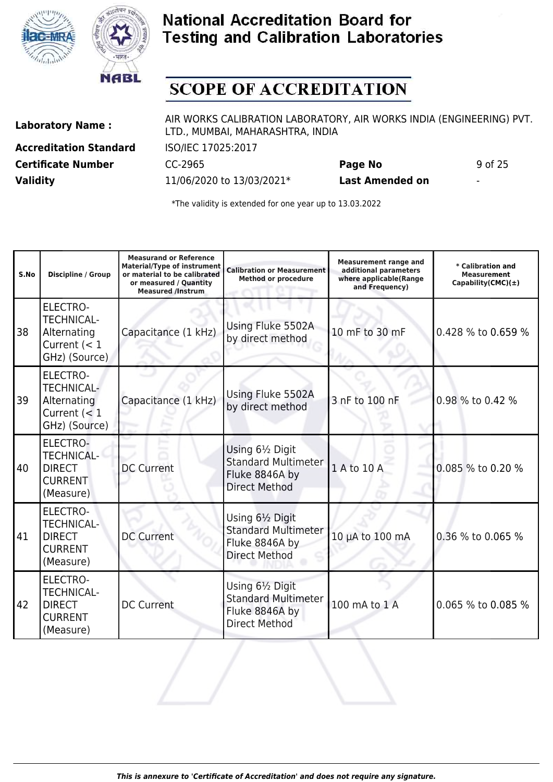



## **SCOPE OF ACCREDITATION**

**Accreditation Standard** ISO/IEC 17025:2017 **Validity** 11/06/2020 to 13/03/2021\* **Last Amended on** -

Laboratory Name : AIR WORKS CALIBRATION LABORATORY, AIR WORKS INDIA (ENGINEERING) PVT. LTD., MUMBAI, MAHARASHTRA, INDIA

**Certificate Number** CC-2965 **Page No** 9 of 25

| S.No | Discipline / Group                                                                     | <b>Measurand or Reference</b><br><b>Material/Type of instrument</b><br>or material to be calibrated<br>or measured / Quantity<br><b>Measured /Instrum</b> | <b>Calibration or Measurement</b><br><b>Method or procedure</b>                          | <b>Measurement range and</b><br>additional parameters<br>where applicable(Range<br>and Frequency) | * Calibration and<br><b>Measurement</b><br>Capability(CMC) $(\pm)$ |
|------|----------------------------------------------------------------------------------------|-----------------------------------------------------------------------------------------------------------------------------------------------------------|------------------------------------------------------------------------------------------|---------------------------------------------------------------------------------------------------|--------------------------------------------------------------------|
| 38   | <b>ELECTRO-</b><br><b>TECHNICAL-</b><br>Alternating<br>Current $(< 1$<br>GHz) (Source) | Capacitance (1 kHz)                                                                                                                                       | Using Fluke 5502A<br>by direct method                                                    | 10 mF to 30 mF                                                                                    | 0.428 % to 0.659 %                                                 |
| 39   | <b>ELECTRO-</b><br><b>TECHNICAL-</b><br>Alternating<br>Current $(< 1$<br>GHz) (Source) | Capacitance (1 kHz)                                                                                                                                       | Using Fluke 5502A<br>by direct method                                                    | 3 nF to 100 nF                                                                                    | 0.98 % to 0.42 %                                                   |
| 40   | <b>ELECTRO-</b><br><b>TECHNICAL-</b><br><b>DIRECT</b><br><b>CURRENT</b><br>(Measure)   | <b>DC Current</b>                                                                                                                                         | Using 61/2 Digit<br><b>Standard Multimeter</b><br>Fluke 8846A by<br><b>Direct Method</b> | 1 A to 10 A                                                                                       | 0.085 % to 0.20 %                                                  |
| 41   | <b>ELECTRO-</b><br><b>TECHNICAL-</b><br><b>DIRECT</b><br><b>CURRENT</b><br>(Measure)   | <b>DC Current</b>                                                                                                                                         | Using 61/2 Digit<br><b>Standard Multimeter</b><br>Fluke 8846A by<br><b>Direct Method</b> | 10 µA to 100 mA                                                                                   | 0.36 % to 0.065 %                                                  |
| 142  | <b>ELECTRO-</b><br><b>TECHNICAL-</b><br><b>DIRECT</b><br><b>CURRENT</b><br>(Measure)   | <b>DC Current</b>                                                                                                                                         | Using 61/2 Digit<br><b>Standard Multimeter</b><br>Fluke 8846A by<br><b>Direct Method</b> | 100 mA to 1 A                                                                                     | 0.065 % to 0.085 %                                                 |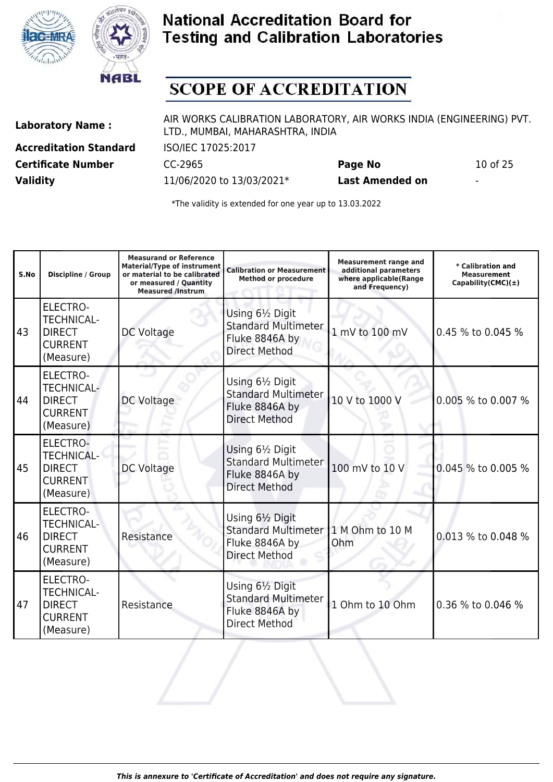



## **SCOPE OF ACCREDITATION**

**Accreditation Standard** ISO/IEC 17025:2017 **Certificate Number** CC-2965 **Page No** 10 of 25 **Validity** 11/06/2020 to 13/03/2021\* **Last Amended on** -

Laboratory Name : AIR WORKS CALIBRATION LABORATORY, AIR WORKS INDIA (ENGINEERING) PVT. LTD., MUMBAI, MAHARASHTRA, INDIA

| S.No | Discipline / Group                                                                   | <b>Measurand or Reference</b><br><b>Material/Type of instrument</b><br>or material to be calibrated<br>or measured / Quantity<br><b>Measured /Instrum</b> | <b>Calibration or Measurement</b><br><b>Method or procedure</b>                          | <b>Measurement range and</b><br>additional parameters<br>where applicable(Range<br>and Frequency) | * Calibration and<br><b>Measurement</b><br>Capability(CMC) $(\pm)$ |
|------|--------------------------------------------------------------------------------------|-----------------------------------------------------------------------------------------------------------------------------------------------------------|------------------------------------------------------------------------------------------|---------------------------------------------------------------------------------------------------|--------------------------------------------------------------------|
| 43   | <b>ELECTRO-</b><br><b>TECHNICAL-</b><br><b>DIRECT</b><br><b>CURRENT</b><br>(Measure) | DC Voltage                                                                                                                                                | Using 61/2 Digit<br><b>Standard Multimeter</b><br>Fluke 8846A by<br><b>Direct Method</b> | 1 mV to 100 mV                                                                                    | 0.45 % to 0.045 %                                                  |
| 44   | <b>ELECTRO-</b><br><b>TECHNICAL-</b><br><b>DIRECT</b><br><b>CURRENT</b><br>(Measure) | DC Voltage                                                                                                                                                | Using 61/2 Digit<br><b>Standard Multimeter</b><br>Fluke 8846A by<br><b>Direct Method</b> | 10 V to 1000 V                                                                                    | 0.005 % to 0.007 %                                                 |
| 45   | <b>ELECTRO-</b><br><b>TECHNICAL-</b><br><b>DIRECT</b><br><b>CURRENT</b><br>(Measure) | <b>DC Voltage</b>                                                                                                                                         | Using 61/2 Digit<br><b>Standard Multimeter</b><br>Fluke 8846A by<br><b>Direct Method</b> | 100 mV to 10 V                                                                                    | 0.045 % to 0.005 %                                                 |
| 46   | <b>ELECTRO-</b><br><b>TECHNICAL-</b><br><b>DIRECT</b><br><b>CURRENT</b><br>(Measure) | Resistance                                                                                                                                                | Using 61/2 Digit<br><b>Standard Multimeter</b><br>Fluke 8846A by<br><b>Direct Method</b> | 1 M Ohm to 10 M<br>Ohm                                                                            | 0.013 % to 0.048 %                                                 |
| 47   | <b>ELECTRO-</b><br><b>TECHNICAL-</b><br><b>DIRECT</b><br><b>CURRENT</b><br>(Measure) | Resistance                                                                                                                                                | Using 61/2 Digit<br><b>Standard Multimeter</b><br>Fluke 8846A by<br><b>Direct Method</b> | 1 Ohm to 10 Ohm                                                                                   | 0.36 % to 0.046 %                                                  |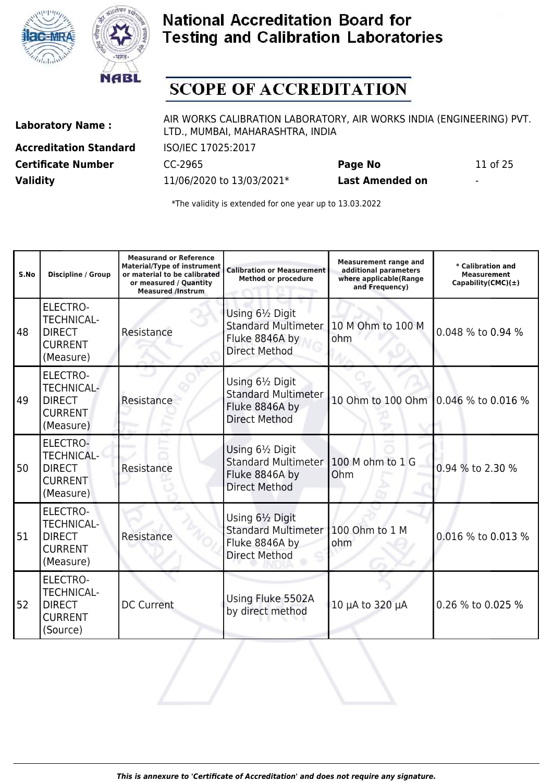



## **SCOPE OF ACCREDITATION**

**Accreditation Standard** ISO/IEC 17025:2017 **Certificate Number** CC-2965 **Page No** 11 of 25 **Validity** 11/06/2020 to 13/03/2021\* **Last Amended on** -

Laboratory Name : AIR WORKS CALIBRATION LABORATORY, AIR WORKS INDIA (ENGINEERING) PVT. LTD., MUMBAI, MAHARASHTRA, INDIA

| S.No | Discipline / Group                                                                   | <b>Measurand or Reference</b><br><b>Material/Type of instrument</b><br>or material to be calibrated<br>or measured / Quantity<br><b>Measured /Instrum</b> | <b>Calibration or Measurement</b><br><b>Method or procedure</b>                          | <b>Measurement range and</b><br>additional parameters<br>where applicable(Range<br>and Frequency) | * Calibration and<br><b>Measurement</b><br>Capability(CMC) $(\pm)$ |
|------|--------------------------------------------------------------------------------------|-----------------------------------------------------------------------------------------------------------------------------------------------------------|------------------------------------------------------------------------------------------|---------------------------------------------------------------------------------------------------|--------------------------------------------------------------------|
| 48   | <b>ELECTRO-</b><br><b>TECHNICAL-</b><br><b>DIRECT</b><br><b>CURRENT</b><br>(Measure) | Resistance                                                                                                                                                | Using 61/2 Digit<br><b>Standard Multimeter</b><br>Fluke 8846A by<br><b>Direct Method</b> | 10 M Ohm to 100 M<br>ohm                                                                          | 0.048 % to 0.94 %                                                  |
| 49   | <b>ELECTRO-</b><br><b>TECHNICAL-</b><br><b>DIRECT</b><br><b>CURRENT</b><br>(Measure) | Resistance                                                                                                                                                | Using 61/2 Digit<br><b>Standard Multimeter</b><br>Fluke 8846A by<br><b>Direct Method</b> | 10 Ohm to 100 Ohm 0.046 % to 0.016 %                                                              |                                                                    |
| 50   | <b>ELECTRO-</b><br><b>TECHNICAL-</b><br><b>DIRECT</b><br><b>CURRENT</b><br>(Measure) | Resistance                                                                                                                                                | Using 61/2 Digit<br><b>Standard Multimeter</b><br>Fluke 8846A by<br><b>Direct Method</b> | 100 M ohm to 1 G<br>Ohm                                                                           | 0.94 % to 2.30 %                                                   |
| 51   | <b>ELECTRO-</b><br><b>TECHNICAL-</b><br><b>DIRECT</b><br><b>CURRENT</b><br>(Measure) | Resistance                                                                                                                                                | Using 61/2 Digit<br><b>Standard Multimeter</b><br>Fluke 8846A by<br><b>Direct Method</b> | 100 Ohm to 1 M<br>ohm                                                                             | 0.016 % to 0.013 %                                                 |
| 52   | <b>ELECTRO-</b><br><b>TECHNICAL-</b><br><b>DIRECT</b><br><b>CURRENT</b><br>(Source)  | <b>DC Current</b>                                                                                                                                         | Using Fluke 5502A<br>by direct method                                                    | 10 μA to 320 μA                                                                                   | 0.26 % to 0.025 %                                                  |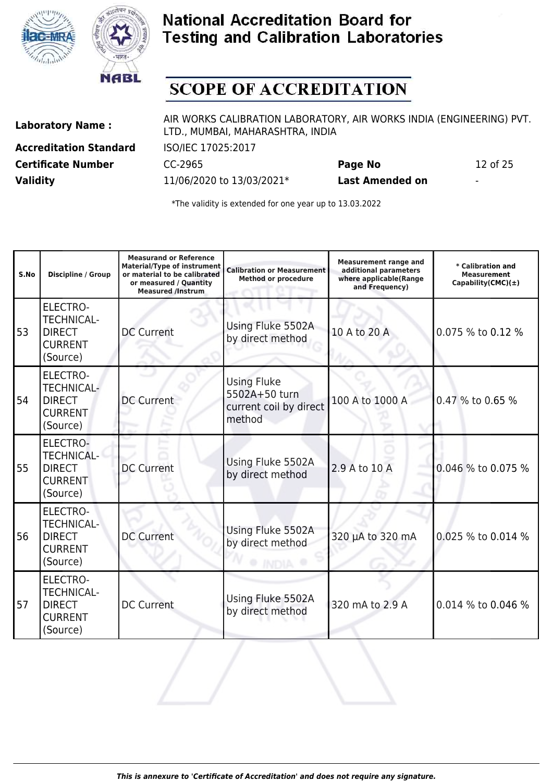



## **SCOPE OF ACCREDITATION**

**Accreditation Standard** ISO/IEC 17025:2017 **Certificate Number** CC-2965 **Page No** 12 of 25 **Validity** 11/06/2020 to 13/03/2021\* **Last Amended on** -

Laboratory Name : AIR WORKS CALIBRATION LABORATORY, AIR WORKS INDIA (ENGINEERING) PVT. LTD., MUMBAI, MAHARASHTRA, INDIA

| S.No | Discipline / Group                                                                  | <b>Measurand or Reference</b><br><b>Material/Type of instrument</b><br>or material to be calibrated<br>or measured / Quantity<br><b>Measured /Instrum</b> | <b>Calibration or Measurement</b><br><b>Method or procedure</b>         | <b>Measurement range and</b><br>additional parameters<br>where applicable(Range<br>and Frequency) | * Calibration and<br><b>Measurement</b><br>Capability(CMC) $(\pm)$ |
|------|-------------------------------------------------------------------------------------|-----------------------------------------------------------------------------------------------------------------------------------------------------------|-------------------------------------------------------------------------|---------------------------------------------------------------------------------------------------|--------------------------------------------------------------------|
| 53   | <b>ELECTRO-</b><br><b>TECHNICAL-</b><br><b>DIRECT</b><br><b>CURRENT</b><br>(Source) | <b>DC Current</b>                                                                                                                                         | Using Fluke 5502A<br>by direct method                                   | 10 A to 20 A                                                                                      | 0.075 % to 0.12 %                                                  |
| 54   | <b>ELECTRO-</b><br><b>TECHNICAL-</b><br><b>DIRECT</b><br><b>CURRENT</b><br>(Source) | <b>DC Current</b>                                                                                                                                         | <b>Using Fluke</b><br>5502A+50 turn<br>current coil by direct<br>method | 100 A to 1000 A                                                                                   | 0.47 % to 0.65 %                                                   |
| 55   | ELECTRO-<br><b>TECHNICAL-</b><br><b>DIRECT</b><br><b>CURRENT</b><br>(Source)        | <b>DC Current</b>                                                                                                                                         | Using Fluke 5502A<br>by direct method                                   | 2.9 A to 10 A                                                                                     | 0.046 % to 0.075 %                                                 |
| 56   | <b>ELECTRO-</b><br><b>TECHNICAL-</b><br><b>DIRECT</b><br><b>CURRENT</b><br>(Source) | <b>DC Current</b>                                                                                                                                         | Using Fluke 5502A<br>by direct method                                   | 320 µA to 320 mA                                                                                  | 0.025 % to 0.014 %                                                 |
| 57   | <b>ELECTRO-</b><br><b>TECHNICAL-</b><br><b>DIRECT</b><br><b>CURRENT</b><br>(Source) | <b>DC Current</b>                                                                                                                                         | Using Fluke 5502A<br>by direct method                                   | 320 mA to 2.9 A                                                                                   | 0.014 % to 0.046 %                                                 |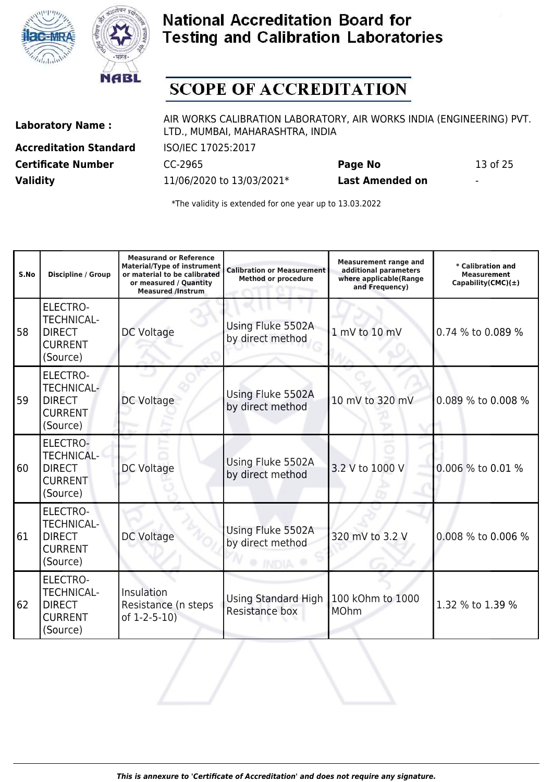



## **SCOPE OF ACCREDITATION**

**Accreditation Standard** ISO/IEC 17025:2017 **Certificate Number** CC-2965 **Page No** 13 of 25 **Validity** 11/06/2020 to 13/03/2021\* **Last Amended on** -

Laboratory Name : AIR WORKS CALIBRATION LABORATORY, AIR WORKS INDIA (ENGINEERING) PVT. LTD., MUMBAI, MAHARASHTRA, INDIA

| S.No | <b>Discipline / Group</b>                                                           | <b>Measurand or Reference</b><br><b>Material/Type of instrument</b><br>or material to be calibrated<br>or measured / Quantity<br><b>Measured /Instrum</b> | <b>Calibration or Measurement</b><br><b>Method or procedure</b> | <b>Measurement range and</b><br>additional parameters<br>where applicable(Range<br>and Frequency) | * Calibration and<br><b>Measurement</b><br>Capability(CMC) $(\pm)$ |
|------|-------------------------------------------------------------------------------------|-----------------------------------------------------------------------------------------------------------------------------------------------------------|-----------------------------------------------------------------|---------------------------------------------------------------------------------------------------|--------------------------------------------------------------------|
| 58   | <b>ELECTRO-</b><br><b>TECHNICAL-</b><br><b>DIRECT</b><br><b>CURRENT</b><br>(Source) | DC Voltage                                                                                                                                                | Using Fluke 5502A<br>by direct method                           | 1 mV to 10 mV                                                                                     | 0.74 % to 0.089 %                                                  |
| 59   | <b>ELECTRO-</b><br><b>TECHNICAL-</b><br><b>DIRECT</b><br><b>CURRENT</b><br>(Source) | DC Voltage                                                                                                                                                | Using Fluke 5502A<br>by direct method                           | 10 mV to 320 mV                                                                                   | 0.089 % to 0.008 %                                                 |
| 60   | <b>ELECTRO-</b><br><b>TECHNICAL-</b><br><b>DIRECT</b><br><b>CURRENT</b><br>(Source) | <b>DC Voltage</b>                                                                                                                                         | Using Fluke 5502A<br>by direct method                           | 3.2 V to 1000 V                                                                                   | 0.006 % to 0.01 %                                                  |
| 61   | <b>ELECTRO-</b><br><b>TECHNICAL-</b><br><b>DIRECT</b><br><b>CURRENT</b><br>(Source) | DC Voltage                                                                                                                                                | Using Fluke 5502A<br>by direct method                           | 320 mV to 3.2 V                                                                                   | 0.008 % to 0.006 %                                                 |
| 62   | <b>ELECTRO-</b><br><b>TECHNICAL-</b><br><b>DIRECT</b><br><b>CURRENT</b><br>(Source) | Insulation<br>Resistance (n steps<br>of 1-2-5-10)                                                                                                         | <b>Using Standard High</b><br>Resistance box                    | 100 kOhm to 1000<br><b>MOhm</b>                                                                   | 1.32 % to 1.39 %                                                   |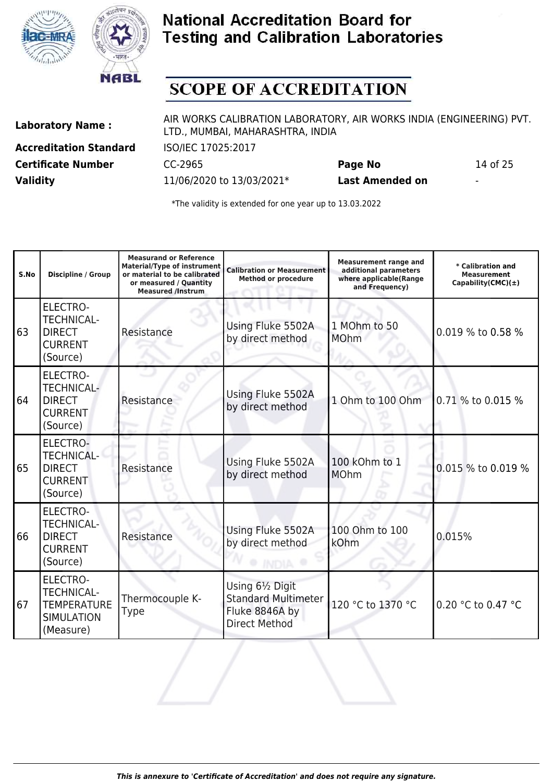



## **SCOPE OF ACCREDITATION**

**Accreditation Standard** ISO/IEC 17025:2017 **Certificate Number** CC-2965 **Page No** 14 of 25 **Validity** 11/06/2020 to 13/03/2021\* **Last Amended on** -

Laboratory Name : AIR WORKS CALIBRATION LABORATORY, AIR WORKS INDIA (ENGINEERING) PVT. LTD., MUMBAI, MAHARASHTRA, INDIA

| S.No | Discipline / Group                                                                           | <b>Measurand or Reference</b><br><b>Material/Type of instrument</b><br>or material to be calibrated<br>or measured / Quantity<br><b>Measured /Instrum</b> | <b>Calibration or Measurement</b><br><b>Method or procedure</b>                          | <b>Measurement range and</b><br>additional parameters<br>where applicable(Range<br>and Frequency) | * Calibration and<br><b>Measurement</b><br>Capability(CMC) $(\pm)$ |
|------|----------------------------------------------------------------------------------------------|-----------------------------------------------------------------------------------------------------------------------------------------------------------|------------------------------------------------------------------------------------------|---------------------------------------------------------------------------------------------------|--------------------------------------------------------------------|
| 63   | <b>ELECTRO-</b><br><b>TECHNICAL-</b><br><b>DIRECT</b><br><b>CURRENT</b><br>(Source)          | Resistance                                                                                                                                                | Using Fluke 5502A<br>by direct method                                                    | 1 MOhm to 50<br><b>MOhm</b>                                                                       | 0.019 % to 0.58 %                                                  |
| 64   | <b>ELECTRO-</b><br><b>TECHNICAL-</b><br><b>DIRECT</b><br><b>CURRENT</b><br>(Source)          | Resistance                                                                                                                                                | Using Fluke 5502A<br>by direct method                                                    | 1 Ohm to 100 Ohm                                                                                  | 0.71 % to 0.015 %                                                  |
| 65   | <b>ELECTRO-</b><br><b>TECHNICAL-</b><br><b>DIRECT</b><br><b>CURRENT</b><br>(Source)          | Resistance                                                                                                                                                | Using Fluke 5502A<br>by direct method                                                    | 100 kOhm to 1<br><b>MOhm</b>                                                                      | 0.015 % to 0.019 %                                                 |
| 66   | <b>ELECTRO-</b><br><b>TECHNICAL-</b><br><b>DIRECT</b><br><b>CURRENT</b><br>(Source)          | Resistance                                                                                                                                                | Using Fluke 5502A<br>by direct method                                                    | 100 Ohm to 100<br>kOhm                                                                            | 0.015%                                                             |
| 67   | <b>ELECTRO-</b><br><b>TECHNICAL-</b><br><b>TEMPERATURE</b><br><b>SIMULATION</b><br>(Measure) | Thermocouple K-<br><b>Type</b>                                                                                                                            | Using 61/2 Digit<br><b>Standard Multimeter</b><br>Fluke 8846A by<br><b>Direct Method</b> | 120 °C to 1370 °C                                                                                 | 0.20 °C to 0.47 °C                                                 |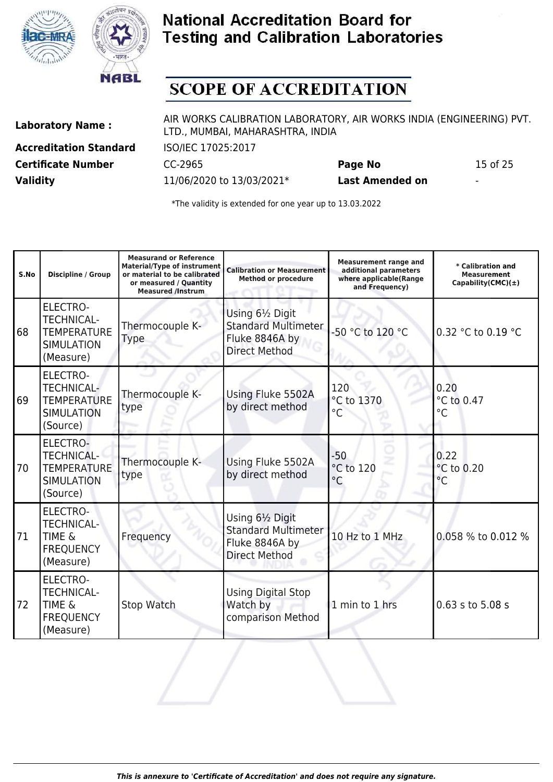



## **SCOPE OF ACCREDITATION**

**Accreditation Standard** ISO/IEC 17025:2017 **Certificate Number** CC-2965 **Page No** 15 of 25 **Validity** 11/06/2020 to 13/03/2021\* **Last Amended on** -

Laboratory Name : AIR WORKS CALIBRATION LABORATORY, AIR WORKS INDIA (ENGINEERING) PVT. LTD., MUMBAI, MAHARASHTRA, INDIA

| S.No | <b>Discipline / Group</b>                                                                    | <b>Measurand or Reference</b><br><b>Material/Type of instrument</b><br>or material to be calibrated<br>or measured / Quantity<br><b>Measured /Instrum</b> | <b>Calibration or Measurement</b><br><b>Method or procedure</b>                          | <b>Measurement range and</b><br>additional parameters<br>where applicable(Range<br>and Frequency) | * Calibration and<br><b>Measurement</b><br>Capability(CMC) $(\pm)$ |
|------|----------------------------------------------------------------------------------------------|-----------------------------------------------------------------------------------------------------------------------------------------------------------|------------------------------------------------------------------------------------------|---------------------------------------------------------------------------------------------------|--------------------------------------------------------------------|
| 86   | <b>ELECTRO-</b><br><b>TECHNICAL-</b><br><b>TEMPERATURE</b><br><b>SIMULATION</b><br>(Measure) | Thermocouple K-<br>Type                                                                                                                                   | Using 61/2 Digit<br><b>Standard Multimeter</b><br>Fluke 8846A by<br><b>Direct Method</b> | -50 °C to 120 °C                                                                                  | 0.32 °C to 0.19 °C                                                 |
| 69   | <b>ELECTRO-</b><br><b>TECHNICAL-</b><br><b>TEMPERATURE</b><br><b>SIMULATION</b><br>(Source)  | Thermocouple K-<br>type                                                                                                                                   | Using Fluke 5502A<br>by direct method                                                    | 120<br>°C to 1370<br>$^{\circ}$ C                                                                 | 0.20<br>°C to 0.47<br>$^{\circ}$ C                                 |
| 170  | <b>ELECTRO-</b><br><b>TECHNICAL-</b><br><b>TEMPERATURE</b><br><b>SIMULATION</b><br>(Source)  | Thermocouple K-<br>type                                                                                                                                   | Using Fluke 5502A<br>by direct method                                                    | $-50$<br>°C to 120<br>$^{\circ}$ C                                                                | 0.22<br>°C to 0.20<br>$^{\circ}C$                                  |
| 71   | <b>ELECTRO-</b><br><b>TECHNICAL-</b><br><b>TIME &amp;</b><br><b>FREQUENCY</b><br>(Measure)   | Frequency                                                                                                                                                 | Using 61/2 Digit<br><b>Standard Multimeter</b><br>Fluke 8846A by<br><b>Direct Method</b> | 10 Hz to 1 MHz                                                                                    | 0.058 % to 0.012 %                                                 |
| 172  | <b>ELECTRO-</b><br><b>TECHNICAL-</b><br><b>TIME &amp;</b><br><b>FREQUENCY</b><br>(Measure)   | Stop Watch                                                                                                                                                | Using Digital Stop<br>Watch by<br>comparison Method                                      | 1 min to 1 hrs                                                                                    | 0.63 s to 5.08 s                                                   |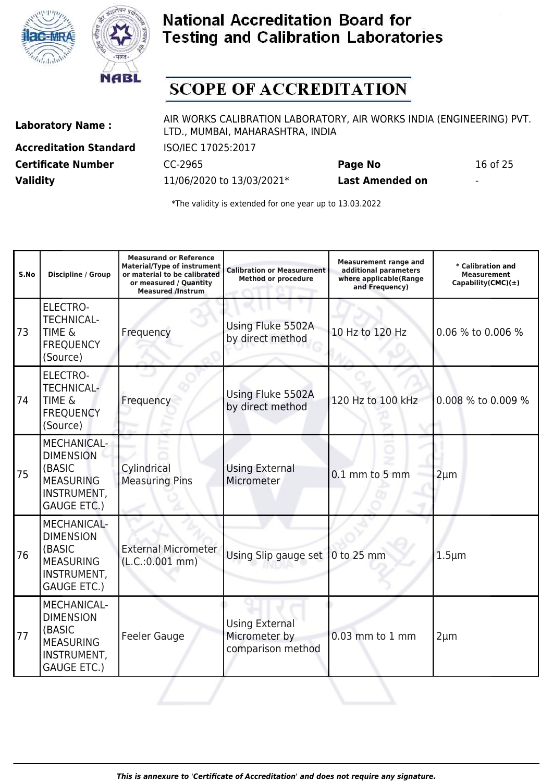



## **SCOPE OF ACCREDITATION**

**Accreditation Standard** ISO/IEC 17025:2017 **Certificate Number** CC-2965 **Page No** 16 of 25 **Validity** 11/06/2020 to 13/03/2021\* **Last Amended on** -

Laboratory Name : AIR WORKS CALIBRATION LABORATORY, AIR WORKS INDIA (ENGINEERING) PVT. LTD., MUMBAI, MAHARASHTRA, INDIA

| S.No | <b>Discipline / Group</b>                                                                                 | <b>Measurand or Reference</b><br>Material/Type of instrument<br>or material to be calibrated<br>or measured / Quantity<br><b>Measured /Instrum</b> | <b>Calibration or Measurement</b><br><b>Method or procedure</b> | <b>Measurement range and</b><br>additional parameters<br>where applicable(Range<br>and Frequency) | * Calibration and<br><b>Measurement</b><br>Capability(CMC) $(\pm)$ |
|------|-----------------------------------------------------------------------------------------------------------|----------------------------------------------------------------------------------------------------------------------------------------------------|-----------------------------------------------------------------|---------------------------------------------------------------------------------------------------|--------------------------------------------------------------------|
| 73   | <b>ELECTRO-</b><br><b>TECHNICAL-</b><br><b>TIME &amp;</b><br><b>FREQUENCY</b><br>(Source)                 | Frequency                                                                                                                                          | Using Fluke 5502A<br>by direct method                           | 10 Hz to 120 Hz                                                                                   | 0.06 % to 0.006 %                                                  |
| 74   | <b>ELECTRO-</b><br><b>TECHNICAL-</b><br><b>TIME &amp;</b><br><b>FREQUENCY</b><br>(Source)                 | Frequency                                                                                                                                          | Using Fluke 5502A<br>by direct method                           | 120 Hz to 100 kHz                                                                                 | 0.008 % to 0.009 %                                                 |
| 75   | <b>MECHANICAL-</b><br><b>DIMENSION</b><br>(BASIC<br><b>MEASURING</b><br>INSTRUMENT,<br><b>GAUGE ETC.)</b> | Cylindrical<br><b>Measuring Pins</b>                                                                                                               | <b>Using External</b><br>Micrometer                             | $0.1$ mm to 5 mm                                                                                  | $2 \mu m$                                                          |
| 76   | <b>MECHANICAL-</b><br><b>DIMENSION</b><br>(BASIC<br><b>MEASURING</b><br>INSTRUMENT,<br><b>GAUGE ETC.)</b> | <b>External Micrometer</b><br>(L.C.:0.001 mm)                                                                                                      | Using Slip gauge set                                            | 0 to 25 mm                                                                                        | $1.5 \mu m$                                                        |
| 77   | <b>MECHANICAL-</b><br><b>DIMENSION</b><br>(BASIC<br><b>MEASURING</b><br>INSTRUMENT,<br><b>GAUGE ETC.)</b> | <b>Feeler Gauge</b>                                                                                                                                | <b>Using External</b><br>Micrometer by<br>comparison method     | 0.03 mm to 1 mm                                                                                   | $2 \mu m$                                                          |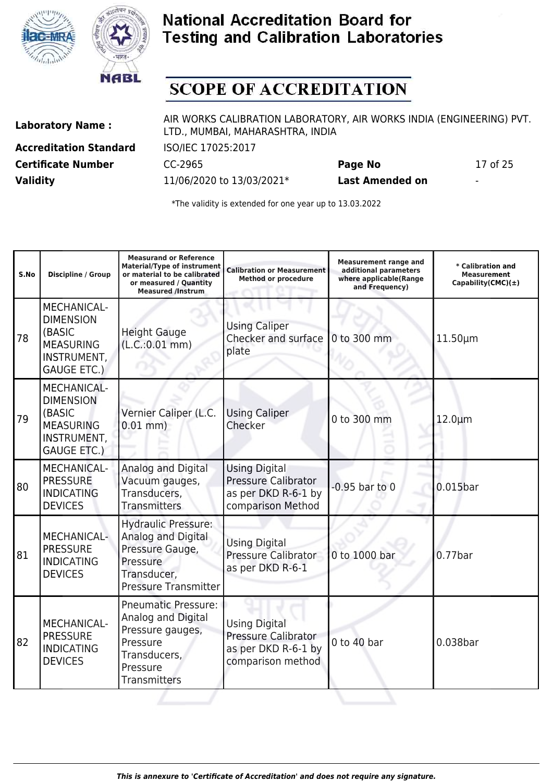



## **SCOPE OF ACCREDITATION**

**Accreditation Standard** ISO/IEC 17025:2017 **Certificate Number** CC-2965 **Page No** 17 of 25 **Validity** 11/06/2020 to 13/03/2021\* **Last Amended on** -

Laboratory Name : AIR WORKS CALIBRATION LABORATORY, AIR WORKS INDIA (ENGINEERING) PVT. LTD., MUMBAI, MAHARASHTRA, INDIA

| S.No | <b>Discipline / Group</b>                                                                                 | <b>Measurand or Reference</b><br><b>Material/Type of instrument</b><br>or material to be calibrated<br>or measured / Quantity<br><b>Measured /Instrum</b> | <b>Calibration or Measurement</b><br><b>Method or procedure</b>                                | <b>Measurement range and</b><br>additional parameters<br>where applicable(Range<br>and Frequency) | * Calibration and<br><b>Measurement</b><br>Capability(CMC) $(\pm)$ |
|------|-----------------------------------------------------------------------------------------------------------|-----------------------------------------------------------------------------------------------------------------------------------------------------------|------------------------------------------------------------------------------------------------|---------------------------------------------------------------------------------------------------|--------------------------------------------------------------------|
| 78   | <b>MECHANICAL-</b><br><b>DIMENSION</b><br>(BASIC<br><b>MEASURING</b><br>INSTRUMENT,<br><b>GAUGE ETC.)</b> | <b>Height Gauge</b><br>(L.C.:0.01 mm)                                                                                                                     | <b>Using Caliper</b><br>Checker and surface<br>plate                                           | 0 to 300 mm                                                                                       | $11.50 \mu m$                                                      |
| 79   | <b>MECHANICAL-</b><br><b>DIMENSION</b><br>(BASIC<br><b>MEASURING</b><br>INSTRUMENT,<br><b>GAUGE ETC.)</b> | Vernier Caliper (L.C.<br>$0.01$ mm)                                                                                                                       | <b>Using Caliper</b><br>Checker                                                                | 0 to 300 mm                                                                                       | $12.0 \mu m$                                                       |
| 80   | <b>MECHANICAL-</b><br><b>PRESSURE</b><br><b>INDICATING</b><br><b>DEVICES</b>                              | Analog and Digital<br>Vacuum gauges,<br>Transducers,<br><b>Transmitters</b>                                                                               | <b>Using Digital</b><br><b>Pressure Calibrator</b><br>as per DKD R-6-1 by<br>comparison Method | $-0.95$ bar to 0                                                                                  | $0.015$ bar                                                        |
| 81   | MECHANICAL-<br><b>PRESSURE</b><br><b>INDICATING</b><br><b>DEVICES</b>                                     | <b>Hydraulic Pressure:</b><br>Analog and Digital<br>Pressure Gauge,<br>Pressure<br>Transducer,<br><b>Pressure Transmitter</b>                             | <b>Using Digital</b><br>Pressure Calibrator<br>as per DKD R-6-1                                | 0 to 1000 bar                                                                                     | $0.77$ bar                                                         |
| 82   | MECHANICAL-<br><b>PRESSURE</b><br><b>INDICATING</b><br><b>DEVICES</b>                                     | <b>Pneumatic Pressure:</b><br>Analog and Digital<br>Pressure gauges,<br>Pressure<br>Transducers,<br>Pressure<br><b>Transmitters</b>                       | <b>Using Digital</b><br><b>Pressure Calibrator</b><br>as per DKD R-6-1 by<br>comparison method | $0$ to 40 bar                                                                                     | 0.038bar                                                           |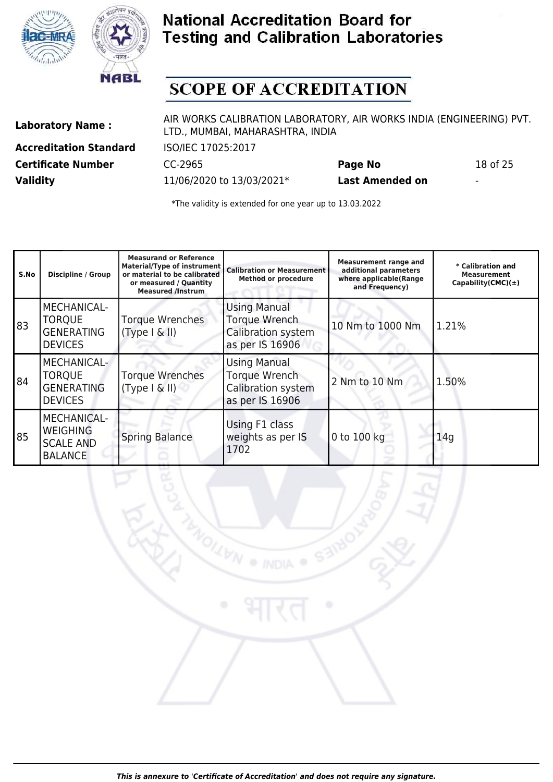



## **SCOPE OF ACCREDITATION**

**Accreditation Standard** ISO/IEC 17025:2017 **Certificate Number** CC-2965 **Page No** 18 of 25 **Validity** 11/06/2020 to 13/03/2021\* **Last Amended on** -

Laboratory Name : AIR WORKS CALIBRATION LABORATORY, AIR WORKS INDIA (ENGINEERING) PVT. LTD., MUMBAI, MAHARASHTRA, INDIA

**XXVN** 

| S.No | <b>Discipline / Group</b>                                                   | <b>Measurand or Reference</b><br>Material/Type of instrument<br>or material to be calibrated<br>or measured / Quantity<br><b>Measured /Instrum</b> | <b>Calibration or Measurement</b><br><b>Method or procedure</b>                      | <b>Measurement range and</b><br>additional parameters<br>where applicable(Range<br>and Frequency) | * Calibration and<br><b>Measurement</b><br>Capability (CMC) $(\pm)$ |
|------|-----------------------------------------------------------------------------|----------------------------------------------------------------------------------------------------------------------------------------------------|--------------------------------------------------------------------------------------|---------------------------------------------------------------------------------------------------|---------------------------------------------------------------------|
| 83]  | <b>MECHANICAL-</b><br><b>TORQUE</b><br><b>GENERATING</b><br><b>DEVICES</b>  | <b>Torque Wrenches</b><br>(Type   &   )                                                                                                            | <b>Using Manual</b><br>Torque Wrench<br>Calibration system<br>as per IS 16906        | 10 Nm to 1000 Nm                                                                                  | 1.21%                                                               |
| 84   | MECHANICAL-<br><b>TORQUE</b><br><b>GENERATING</b><br><b>DEVICES</b>         | <b>Torque Wrenches</b><br>(Type   &   )                                                                                                            | <b>Using Manual</b><br><b>Torque Wrench</b><br>Calibration system<br>as per IS 16906 | 2 Nm to 10 Nm                                                                                     | 1.50%                                                               |
| 85   | <b>MECHANICAL-</b><br><b>WEIGHING</b><br><b>SCALE AND</b><br><b>BALANCE</b> | <b>Spring Balance</b>                                                                                                                              | Using F1 class<br>weights as per IS<br>1702                                          | 0 to 100 kg                                                                                       | 14q                                                                 |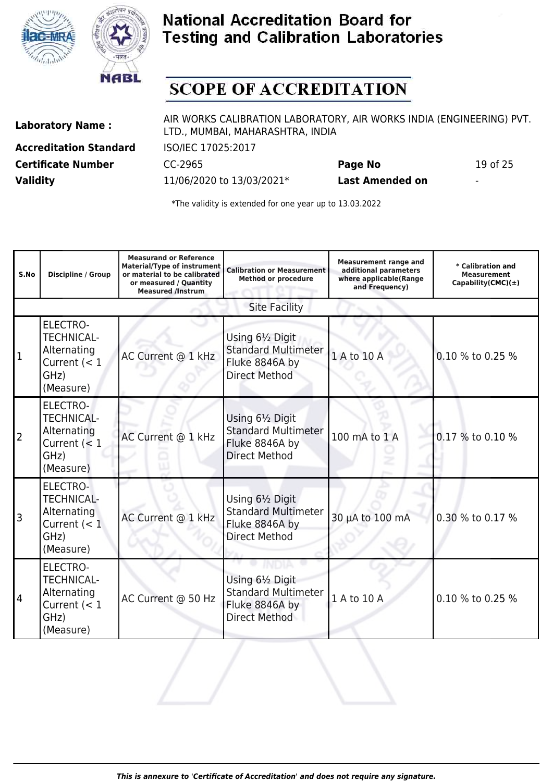



## **SCOPE OF ACCREDITATION**

**Accreditation Standard** ISO/IEC 17025:2017 **Certificate Number** CC-2965 **Page No** 19 of 25 **Validity** 11/06/2020 to 13/03/2021\* **Last Amended on** -

Laboratory Name : AIR WORKS CALIBRATION LABORATORY, AIR WORKS INDIA (ENGINEERING) PVT. LTD., MUMBAI, MAHARASHTRA, INDIA

| S.No | Discipline / Group                                                                         | <b>Measurand or Reference</b><br><b>Material/Type of instrument</b><br>or material to be calibrated<br>or measured / Quantity<br><b>Measured /Instrum</b> | <b>Calibration or Measurement</b><br><b>Method or procedure</b>                          | <b>Measurement range and</b><br>additional parameters<br>where applicable(Range<br>and Frequency) | * Calibration and<br><b>Measurement</b><br>Capability(CMC) $(\pm)$ |
|------|--------------------------------------------------------------------------------------------|-----------------------------------------------------------------------------------------------------------------------------------------------------------|------------------------------------------------------------------------------------------|---------------------------------------------------------------------------------------------------|--------------------------------------------------------------------|
|      |                                                                                            |                                                                                                                                                           | <b>Site Facility</b>                                                                     |                                                                                                   |                                                                    |
| 1    | <b>ELECTRO-</b><br><b>TECHNICAL-</b><br>Alternating<br>Current $(< 1$<br>GHz)<br>(Measure) | AC Current @ 1 kHz                                                                                                                                        | Using 61/2 Digit<br><b>Standard Multimeter</b><br>Fluke 8846A by<br><b>Direct Method</b> | 1 A to 10 A                                                                                       | 0.10 % to 0.25 %                                                   |
| 2    | <b>ELECTRO-</b><br><b>TECHNICAL-</b><br>Alternating<br>Current $(< 1$<br>GHz)<br>(Measure) | AC Current @ 1 kHz                                                                                                                                        | Using 61/2 Digit<br><b>Standard Multimeter</b><br>Fluke 8846A by<br><b>Direct Method</b> | 100 mA to 1 A                                                                                     | 0.17 % to 0.10 %                                                   |
| 3    | <b>ELECTRO-</b><br><b>TECHNICAL-</b><br>Alternating<br>Current $(< 1$<br>GHz)<br>(Measure) | AC Current @ 1 kHz                                                                                                                                        | Using 61/2 Digit<br><b>Standard Multimeter</b><br>Fluke 8846A by<br><b>Direct Method</b> | 30 µA to 100 mA                                                                                   | 0.30 % to 0.17 %                                                   |
| 4    | <b>ELECTRO-</b><br><b>TECHNICAL-</b><br>Alternating<br>Current $(< 1$<br>GHz)<br>(Measure) | AC Current @ 50 Hz                                                                                                                                        | Using 61/2 Digit<br><b>Standard Multimeter</b><br>Fluke 8846A by<br><b>Direct Method</b> | 1 A to 10 A                                                                                       | 0.10 % to 0.25 %                                                   |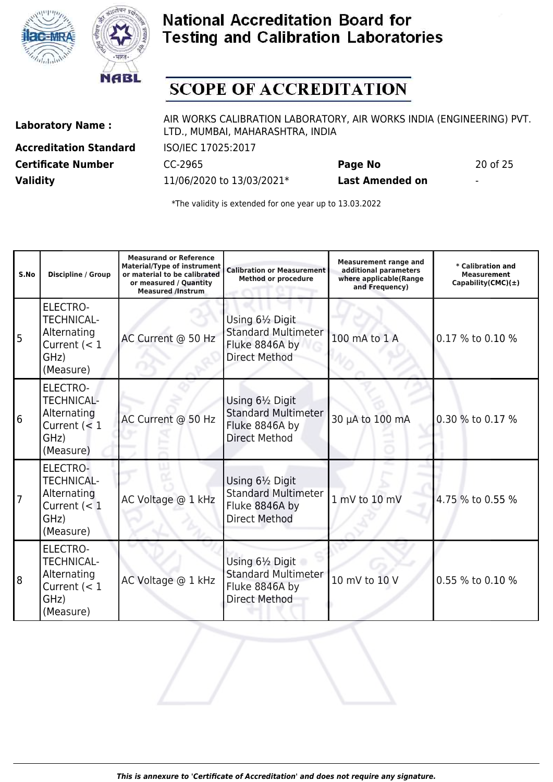



## **SCOPE OF ACCREDITATION**

**Accreditation Standard** ISO/IEC 17025:2017 **Certificate Number** CC-2965 **Page No** 20 of 25 **Validity** 11/06/2020 to 13/03/2021\* **Last Amended on** -

Laboratory Name : AIR WORKS CALIBRATION LABORATORY, AIR WORKS INDIA (ENGINEERING) PVT. LTD., MUMBAI, MAHARASHTRA, INDIA

| S.No | <b>Discipline / Group</b>                                                                  | <b>Measurand or Reference</b><br><b>Material/Type of instrument</b><br>or material to be calibrated<br>or measured / Quantity<br><b>Measured /Instrum</b> | <b>Calibration or Measurement</b><br><b>Method or procedure</b>                          | <b>Measurement range and</b><br>additional parameters<br>where applicable(Range<br>and Frequency) | * Calibration and<br><b>Measurement</b><br>Capability(CMC) $(\pm)$ |
|------|--------------------------------------------------------------------------------------------|-----------------------------------------------------------------------------------------------------------------------------------------------------------|------------------------------------------------------------------------------------------|---------------------------------------------------------------------------------------------------|--------------------------------------------------------------------|
| 5    | <b>ELECTRO-</b><br><b>TECHNICAL-</b><br>Alternating<br>Current $(< 1$<br>GHz)<br>(Measure) | AC Current @ 50 Hz                                                                                                                                        | Using 61/2 Digit<br><b>Standard Multimeter</b><br>Fluke 8846A by<br><b>Direct Method</b> | 100 mA to 1 A                                                                                     | 0.17 % to 0.10 %                                                   |
| 16   | <b>ELECTRO-</b><br><b>TECHNICAL-</b><br>Alternating<br>Current $(< 1$<br>GHz)<br>(Measure) | AC Current @ 50 Hz                                                                                                                                        | Using 61/2 Digit<br><b>Standard Multimeter</b><br>Fluke 8846A by<br><b>Direct Method</b> | 30 µA to 100 mA                                                                                   | 0.30 % to 0.17 %                                                   |
| 7    | ELECTRO-<br><b>TECHNICAL-</b><br>Alternating<br>Current $(< 1$<br>GHz)<br>(Measure)        | AC Voltage @ 1 kHz                                                                                                                                        | Using 61/2 Digit<br><b>Standard Multimeter</b><br>Fluke 8846A by<br><b>Direct Method</b> | 1 mV to 10 mV                                                                                     | 4.75 % to 0.55 %                                                   |
| 18   | ELECTRO-<br><b>TECHNICAL-</b><br>Alternating<br>Current $(< 1$<br>GHz)<br>(Measure)        | AC Voltage @ 1 kHz                                                                                                                                        | Using 61/2 Digit<br><b>Standard Multimeter</b><br>Fluke 8846A by<br><b>Direct Method</b> | 10 mV to 10 V                                                                                     | 0.55 % to 0.10 %                                                   |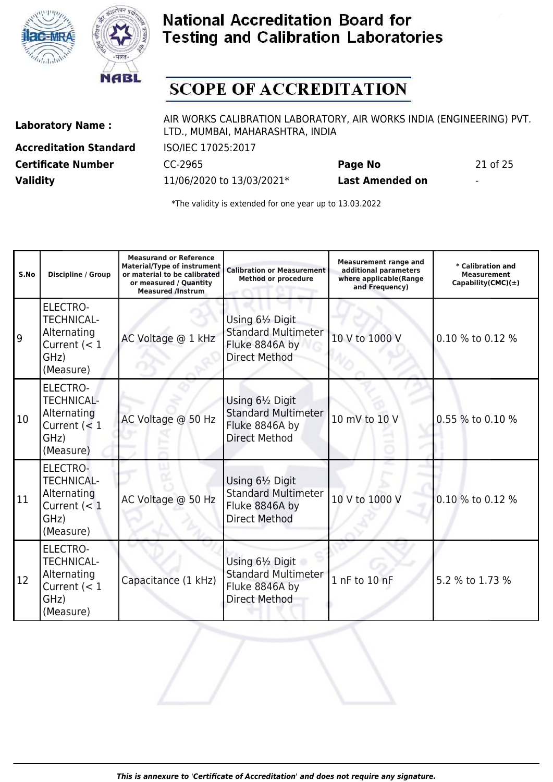



## **SCOPE OF ACCREDITATION**

**Accreditation Standard** ISO/IEC 17025:2017 **Certificate Number** CC-2965 **Page No** 21 of 25 **Validity** 11/06/2020 to 13/03/2021\* **Last Amended on** -

Laboratory Name : AIR WORKS CALIBRATION LABORATORY, AIR WORKS INDIA (ENGINEERING) PVT. LTD., MUMBAI, MAHARASHTRA, INDIA

| S.No          | Discipline / Group                                                                         | <b>Measurand or Reference</b><br><b>Material/Type of instrument</b><br>or material to be calibrated<br>or measured / Quantity<br><b>Measured /Instrum</b> | <b>Calibration or Measurement</b><br><b>Method or procedure</b>                          | <b>Measurement range and</b><br>additional parameters<br>where applicable(Range<br>and Frequency) | * Calibration and<br><b>Measurement</b><br>Capability(CMC) $(\pm)$ |
|---------------|--------------------------------------------------------------------------------------------|-----------------------------------------------------------------------------------------------------------------------------------------------------------|------------------------------------------------------------------------------------------|---------------------------------------------------------------------------------------------------|--------------------------------------------------------------------|
| و             | <b>ELECTRO-</b><br><b>TECHNICAL-</b><br>Alternating<br>Current $(< 1$<br>GHz)<br>(Measure) | AC Voltage @ 1 kHz                                                                                                                                        | Using 61/2 Digit<br><b>Standard Multimeter</b><br>Fluke 8846A by<br><b>Direct Method</b> | 10 V to 1000 V                                                                                    | 0.10 % to 0.12 %                                                   |
| 10            | <b>ELECTRO-</b><br><b>TECHNICAL-</b><br>Alternating<br>Current $(< 1$<br>GHz)<br>(Measure) | AC Voltage @ 50 Hz                                                                                                                                        | Using 61/2 Digit<br><b>Standard Multimeter</b><br>Fluke 8846A by<br><b>Direct Method</b> | 10 mV to 10 V                                                                                     | 0.55 % to 0.10 %                                                   |
| 11            | ELECTRO-<br><b>TECHNICAL-</b><br>Alternating<br>Current $(< 1$<br>GHz)<br>(Measure)        | AC Voltage @ 50 Hz                                                                                                                                        | Using 61/2 Digit<br><b>Standard Multimeter</b><br>Fluke 8846A by<br><b>Direct Method</b> | 10 V to 1000 V                                                                                    | 0.10 % to 0.12 %                                                   |
| <sup>12</sup> | ELECTRO-<br><b>TECHNICAL-</b><br>Alternating<br>Current $(< 1$<br>GHz)<br>(Measure)        | Capacitance (1 kHz)                                                                                                                                       | Using 61/2 Digit<br><b>Standard Multimeter</b><br>Fluke 8846A by<br><b>Direct Method</b> | 1 nF to 10 nF                                                                                     | 5.2 % to 1.73 %                                                    |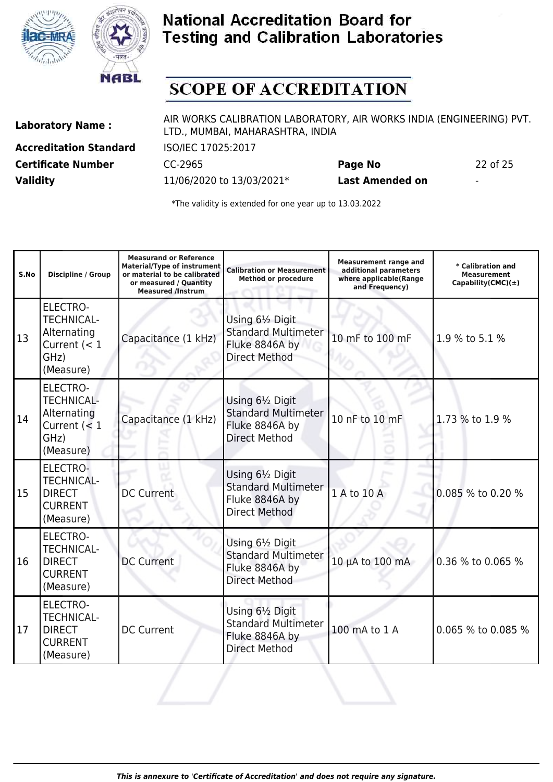



## **SCOPE OF ACCREDITATION**

**Accreditation Standard** ISO/IEC 17025:2017 **Certificate Number** CC-2965 **Page No** 22 of 25 **Validity** 11/06/2020 to 13/03/2021\* **Last Amended on** -

Laboratory Name : AIR WORKS CALIBRATION LABORATORY, AIR WORKS INDIA (ENGINEERING) PVT. LTD., MUMBAI, MAHARASHTRA, INDIA

| S.No | <b>Discipline / Group</b>                                                                  | <b>Measurand or Reference</b><br><b>Material/Type of instrument</b><br>or material to be calibrated<br>or measured / Quantity<br><b>Measured /Instrum</b> | <b>Calibration or Measurement</b><br><b>Method or procedure</b>                          | <b>Measurement range and</b><br>additional parameters<br>where applicable(Range<br>and Frequency) | * Calibration and<br><b>Measurement</b><br>Capability(CMC) $(\pm)$ |
|------|--------------------------------------------------------------------------------------------|-----------------------------------------------------------------------------------------------------------------------------------------------------------|------------------------------------------------------------------------------------------|---------------------------------------------------------------------------------------------------|--------------------------------------------------------------------|
| 13   | <b>ELECTRO-</b><br><b>TECHNICAL-</b><br>Alternating<br>Current $(< 1$<br>GHz)<br>(Measure) | Capacitance (1 kHz)                                                                                                                                       | Using 61/2 Digit<br><b>Standard Multimeter</b><br>Fluke 8846A by<br><b>Direct Method</b> | 10 mF to 100 mF                                                                                   | 1.9 % to 5.1 %                                                     |
| 14   | <b>ELECTRO-</b><br><b>TECHNICAL-</b><br>Alternating<br>Current $(< 1$<br>GHz)<br>(Measure) | Capacitance (1 kHz)                                                                                                                                       | Using 61/2 Digit<br><b>Standard Multimeter</b><br>Fluke 8846A by<br><b>Direct Method</b> | 10 nF to 10 mF                                                                                    | 1.73 % to 1.9 %                                                    |
| 15   | ELECTRO-<br><b>TECHNICAL-</b><br><b>DIRECT</b><br><b>CURRENT</b><br>(Measure)              | <b>DC Current</b>                                                                                                                                         | Using 61/2 Digit<br><b>Standard Multimeter</b><br>Fluke 8846A by<br>Direct Method        | 1 A to 10 A                                                                                       | 0.085 % to 0.20 %                                                  |
| 16   | <b>ELECTRO-</b><br><b>TECHNICAL-</b><br><b>DIRECT</b><br><b>CURRENT</b><br>(Measure)       | <b>DC Current</b>                                                                                                                                         | Using 61/2 Digit<br><b>Standard Multimeter</b><br>Fluke 8846A by<br><b>Direct Method</b> | 10 µA to 100 mA                                                                                   | 0.36 % to 0.065 %                                                  |
| 17   | <b>ELECTRO-</b><br><b>TECHNICAL-</b><br><b>DIRECT</b><br><b>CURRENT</b><br>(Measure)       | <b>DC Current</b>                                                                                                                                         | Using 61/2 Digit<br><b>Standard Multimeter</b><br>Fluke 8846A by<br><b>Direct Method</b> | 100 mA to 1 A                                                                                     | 0.065 % to 0.085 %                                                 |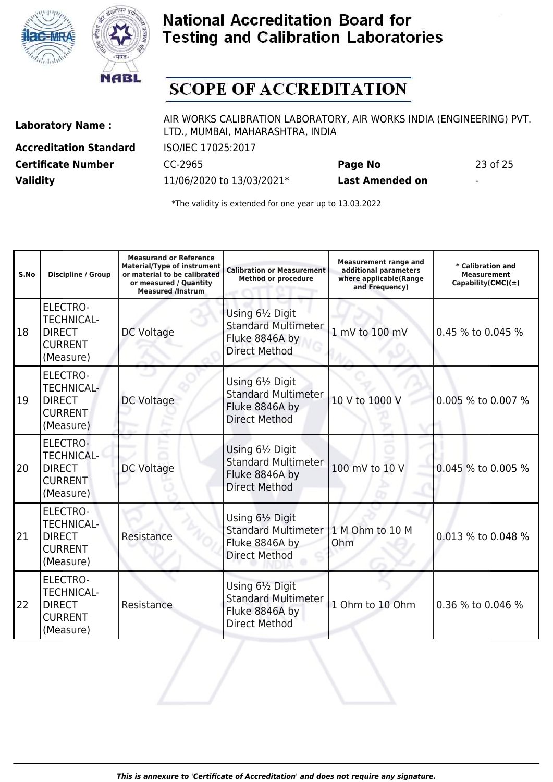



## **SCOPE OF ACCREDITATION**

**Accreditation Standard** ISO/IEC 17025:2017 **Certificate Number** CC-2965 **Page No** 23 of 25 **Validity** 11/06/2020 to 13/03/2021\* **Last Amended on** -

Laboratory Name : AIR WORKS CALIBRATION LABORATORY, AIR WORKS INDIA (ENGINEERING) PVT. LTD., MUMBAI, MAHARASHTRA, INDIA

| S.No | <b>Discipline / Group</b>                                                            | <b>Measurand or Reference</b><br><b>Material/Type of instrument</b><br>or material to be calibrated<br>or measured / Quantity<br><b>Measured /Instrum</b> | <b>Calibration or Measurement</b><br><b>Method or procedure</b>                          | <b>Measurement range and</b><br>additional parameters<br>where applicable(Range<br>and Frequency) | * Calibration and<br><b>Measurement</b><br>Capability(CMC) $(±)$ |
|------|--------------------------------------------------------------------------------------|-----------------------------------------------------------------------------------------------------------------------------------------------------------|------------------------------------------------------------------------------------------|---------------------------------------------------------------------------------------------------|------------------------------------------------------------------|
| 18   | <b>ELECTRO-</b><br><b>TECHNICAL-</b><br><b>DIRECT</b><br><b>CURRENT</b><br>(Measure) | DC Voltage                                                                                                                                                | Using 61/2 Digit<br><b>Standard Multimeter</b><br>Fluke 8846A by<br><b>Direct Method</b> | 1 mV to 100 mV                                                                                    | 0.45 % to 0.045 %                                                |
| 19   | <b>ELECTRO-</b><br><b>TECHNICAL-</b><br><b>DIRECT</b><br><b>CURRENT</b><br>(Measure) | DC Voltage                                                                                                                                                | Using 61/2 Digit<br><b>Standard Multimeter</b><br>Fluke 8846A by<br><b>Direct Method</b> | 10 V to 1000 V                                                                                    | 0.005 % to 0.007 %                                               |
| 20   | <b>ELECTRO-</b><br><b>TECHNICAL-</b><br><b>DIRECT</b><br><b>CURRENT</b><br>(Measure) | DC Voltage                                                                                                                                                | Using 61/2 Digit<br><b>Standard Multimeter</b><br>Fluke 8846A by<br><b>Direct Method</b> | 100 mV to 10 V                                                                                    | 0.045 % to 0.005 %                                               |
| 21   | <b>ELECTRO-</b><br><b>TECHNICAL-</b><br><b>DIRECT</b><br><b>CURRENT</b><br>(Measure) | Resistance                                                                                                                                                | Using 61/2 Digit<br><b>Standard Multimeter</b><br>Fluke 8846A by<br><b>Direct Method</b> | 1 M Ohm to 10 M<br>Ohm                                                                            | 0.013 % to 0.048 %                                               |
| 22   | <b>ELECTRO-</b><br><b>TECHNICAL-</b><br><b>DIRECT</b><br><b>CURRENT</b><br>(Measure) | Resistance                                                                                                                                                | Using 61/2 Digit<br><b>Standard Multimeter</b><br>Fluke 8846A by<br><b>Direct Method</b> | 1 Ohm to 10 Ohm                                                                                   | 0.36 % to 0.046 %                                                |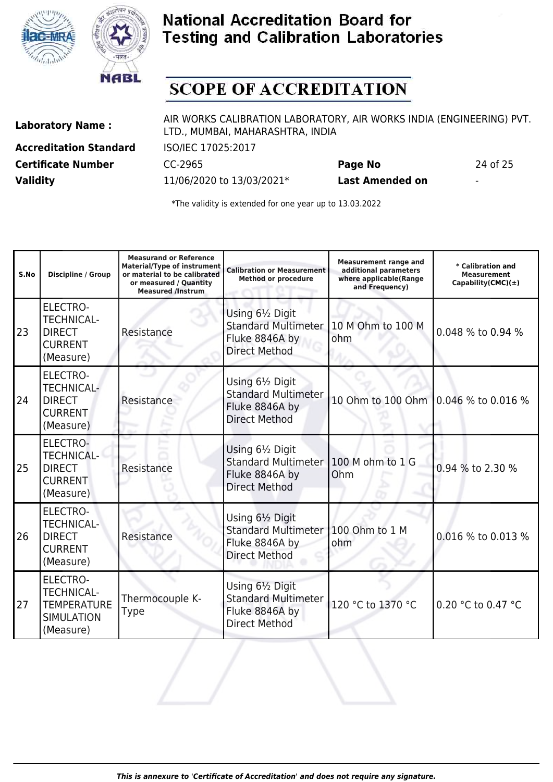



## **SCOPE OF ACCREDITATION**

**Accreditation Standard** ISO/IEC 17025:2017 **Certificate Number** CC-2965 **Page No** 24 of 25 **Validity** 11/06/2020 to 13/03/2021\* **Last Amended on** -

Laboratory Name : AIR WORKS CALIBRATION LABORATORY, AIR WORKS INDIA (ENGINEERING) PVT. LTD., MUMBAI, MAHARASHTRA, INDIA

| S.No | <b>Discipline / Group</b>                                                                    | <b>Measurand or Reference</b><br><b>Material/Type of instrument</b><br>or material to be calibrated<br>or measured / Quantity<br><b>Measured /Instrum</b> | <b>Calibration or Measurement</b><br><b>Method or procedure</b>                          | <b>Measurement range and</b><br>additional parameters<br>where applicable(Range<br>and Frequency) | * Calibration and<br><b>Measurement</b><br>Capability(CMC) $(\pm)$ |
|------|----------------------------------------------------------------------------------------------|-----------------------------------------------------------------------------------------------------------------------------------------------------------|------------------------------------------------------------------------------------------|---------------------------------------------------------------------------------------------------|--------------------------------------------------------------------|
| 23   | <b>ELECTRO-</b><br><b>TECHNICAL-</b><br><b>DIRECT</b><br><b>CURRENT</b><br>(Measure)         | Resistance                                                                                                                                                | Using 61/2 Digit<br><b>Standard Multimeter</b><br>Fluke 8846A by<br><b>Direct Method</b> | 10 M Ohm to 100 M<br>ohm                                                                          | 0.048 % to 0.94 %                                                  |
| 24   | <b>ELECTRO-</b><br><b>TECHNICAL-</b><br><b>DIRECT</b><br><b>CURRENT</b><br>(Measure)         | Resistance                                                                                                                                                | Using 61/2 Digit<br><b>Standard Multimeter</b><br>Fluke 8846A by<br><b>Direct Method</b> | 10 Ohm to 100 Ohm 0.046 % to 0.016 %                                                              |                                                                    |
| 25   | <b>ELECTRO-</b><br><b>TECHNICAL-</b><br><b>DIRECT</b><br><b>CURRENT</b><br>(Measure)         | Resistance                                                                                                                                                | Using 61/2 Digit<br><b>Standard Multimeter</b><br>Fluke 8846A by<br><b>Direct Method</b> | 100 M ohm to 1 G<br>Ohm                                                                           | 0.94 % to 2.30 %                                                   |
| 26   | <b>ELECTRO-</b><br><b>TECHNICAL-</b><br><b>DIRECT</b><br><b>CURRENT</b><br>(Measure)         | Resistance                                                                                                                                                | Using 61/2 Digit<br><b>Standard Multimeter</b><br>Fluke 8846A by<br><b>Direct Method</b> | 100 Ohm to 1 M<br>ohm                                                                             | 0.016 % to 0.013 %                                                 |
| 27   | <b>ELECTRO-</b><br><b>TECHNICAL-</b><br><b>TEMPERATURE</b><br><b>SIMULATION</b><br>(Measure) | Thermocouple K-<br><b>Type</b>                                                                                                                            | Using 61/2 Digit<br><b>Standard Multimeter</b><br>Fluke 8846A by<br><b>Direct Method</b> | 120 °C to 1370 °C                                                                                 | 0.20 °C to 0.47 °C                                                 |